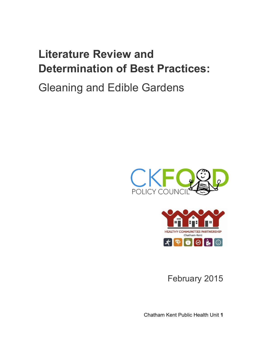# **Literature Review and Determination of Best Practices:**

# Gleaning and Edible Gardens





February 2015

Chatham Kent Public Health Unit **1**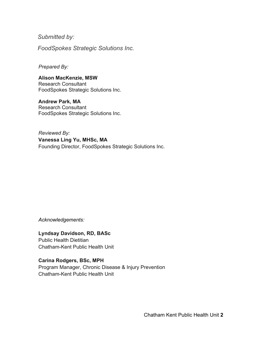*Submitted by:* 

*FoodSpokes Strategic Solutions Inc.*

*Prepared By:*

**Alison MacKenzie, MSW** Research Consultant FoodSpokes Strategic Solutions Inc.

**Andrew Park, MA** Research Consultant FoodSpokes Strategic Solutions Inc.

*Reviewed By:* **Vanessa Ling Yu, MHSc, MA** Founding Director, FoodSpokes Strategic Solutions Inc.

*Acknowledgements:*

**Lyndsay Davidson, RD, BASc** Public Health Dietitian Chatham-Kent Public Health Unit

**Carina Rodgers, BSc, MPH** Program Manager, Chronic Disease & Injury Prevention Chatham-Kent Public Health Unit

Chatham Kent Public Health Unit **2**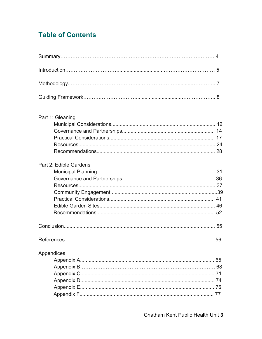# **Table of Contents**

| Part 1: Gleaning       |    |
|------------------------|----|
|                        |    |
|                        |    |
|                        |    |
| Part 2: Edible Gardens |    |
|                        |    |
|                        |    |
|                        |    |
|                        |    |
|                        |    |
|                        |    |
|                        |    |
|                        |    |
|                        | 56 |
| Appendices             |    |
|                        | 65 |
|                        | 68 |
|                        | 71 |
|                        | 74 |
|                        |    |
|                        | 77 |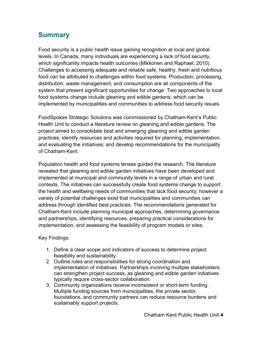## **Summary**

Food security is a public health issue gaining recognition at local and global levels. In Canada, many individuals are experiencing a lack of food security, which significantly impacts health outcomes (Mikkonen and Raphael, 2010). Challenges to accessing adequate and reliable safe, healthy, fresh and nutritious food can be attributed to challenges within food systems. Production, processing, distribution, waste management, and consumption are all components of the system that present significant opportunities for change. Two approaches to local food systems change include gleaning and edible gardens, which can be implemented by municipalities and communities to address food security issues.

FoodSpokes Strategic Solutions was commissioned by Chatham-Kent's Public Health Unit to conduct a literature review on gleaning and edible gardens. The project aimed to consolidate best and emerging gleaning and edible garden practices; identify resources and activities required for planning, implementation, and evaluating the initiatives; and develop recommendations for the municipality of Chatham-Kent.

Population health and food systems lenses guided the research. The literature revealed that gleaning and edible garden initiatives have been developed and implemented at municipal and community levels in a range of urban and rural contexts. The initiatives can successfully create food systems change to support the health and wellbeing needs of communities that lack food security; however a variety of potential challenges exist that municipalities and communities can address through identified best practices. The recommendations generated for Chatham-Kent include planning municipal approaches, determining governance and partnerships, identifying resources, preparing practical considerations for implementation, and assessing the feasibility of program models or sites.

Key Findings:

- 1. Define a clear scope and indicators of success to determine project feasibility and sustainability.
- 2. Outline roles and responsibilities for strong coordination and implementation of initiatives. Partnerships involving multiple stakeholders can strengthen project success, as gleaning and edible garden initiatives typically require cross-sector collaboration.
- 3. Community organizations receive inconsistent or short-term funding. Multiple funding sources from municipalities, the private sector, foundations, and community partners can reduce resource burdens and sustainably support projects.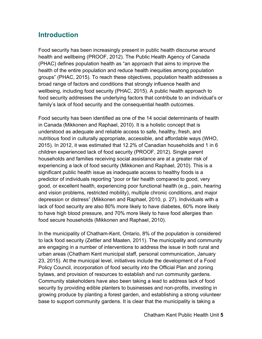# **Introduction**

Food security has been increasingly present in public health discourse around health and wellbeing (PROOF, 2012). The Public Health Agency of Canada (PHAC) defines population health as "an approach that aims to improve the health of the entire population and reduce health inequities among population groups" (PHAC, 2015). To reach these objectives, population health addresses a broad range of factors and conditions that strongly influence health and wellbeing, including food security (PHAC, 2015). A public health approach to food security addresses the underlying factors that contribute to an individual's or family's lack of food security and the consequential health outcomes.

Food security has been identified as one of the 14 social determinants of health in Canada (Mikkonen and Raphael, 2010). It is a holistic concept that is understood as adequate and reliable access to safe, healthy, fresh, and nutritious food in culturally appropriate, accessible, and affordable ways (WHO, 2015). In 2012, it was estimated that 12.2% of Canadian households and 1 in 6 children experienced lack of food security (PROOF, 2012). Single parent households and families receiving social assistance are at a greater risk of experiencing a lack of food security (Mikkonen and Raphael, 2010). This is a significant public health issue as inadequate access to healthy foods is a predictor of individuals reporting "poor or fair health compared to good, very good, or excellent health, experiencing poor functional health (e.g., pain, hearing and vision problems, restricted mobility), multiple chronic conditions, and major depression or distress" (Mikkonen and Raphael, 2010, p. 27). Individuals with a lack of food security are also 80% more likely to have diabetes, 60% more likely to have high blood pressure, and 70% more likely to have food allergies than food secure households (Mikkonen and Raphael, 2010).

In the municipality of Chatham-Kent, Ontario, 8% of the population is considered to lack food security (Zettler and Maaten, 2011). The municipality and community are engaging in a number of interventions to address the issue in both rural and urban areas (Chatham Kent municipal staff, personal communication, January 23, 2015). At the municipal level, initiatives include the development of a Food Policy Council, incorporation of food security into the Official Plan and zoning bylaws, and provision of resources to establish and run community gardens. Community stakeholders have also been taking a lead to address lack of food security by providing edible planters to businesses and non-profits, investing in growing produce by planting a forest garden, and establishing a strong volunteer base to support community gardens. It is clear that the municipality is taking a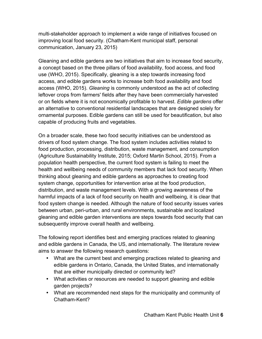multi-stakeholder approach to implement a wide range of initiatives focused on improving local food security. (Chatham-Kent municipal staff, personal communication, January 23, 2015)

Gleaning and edible gardens are two initiatives that aim to increase food security, a concept based on the three pillars of food availability, food access, and food use (WHO, 2015). Specifically, gleaning is a step towards increasing food access, and edible gardens works to increase both food availability and food access (WHO, 2015). *Gleaning* is commonly understood as the act of collecting leftover crops from farmers' fields after they have been commercially harvested or on fields where it is not economically profitable to harvest. *Edible gardens* offer an alternative to conventional residential landscapes that are designed solely for ornamental purposes. Edible gardens can still be used for beautification, but also capable of producing fruits and vegetables.

On a broader scale, these two food security initiatives can be understood as drivers of food system change. The food system includes activities related to food production, processing, distribution, waste management, and consumption (Agriculture Sustainability Institute, 2015; Oxford Martin School, 2015). From a population health perspective, the current food system is failing to meet the health and wellbeing needs of community members that lack food security. When thinking about gleaning and edible gardens as approaches to creating food system change, opportunities for intervention arise at the food production, distribution, and waste management levels. With a growing awareness of the harmful impacts of a lack of food security on health and wellbeing, it is clear that food system change is needed. Although the nature of food security issues varies between urban, peri-urban, and rural environments, sustainable and localized gleaning and edible garden interventions are steps towards food security that can subsequently improve overall health and wellbeing.

The following report identifies best and emerging practices related to gleaning and edible gardens in Canada, the US, and internationally. The literature review aims to answer the following research questions:

- What are the current best and emerging practices related to gleaning and edible gardens in Ontario, Canada, the United States, and internationally that are either municipally directed or community led?
- What activities or resources are needed to support gleaning and edible garden projects?
- What are recommended next steps for the municipality and community of Chatham-Kent?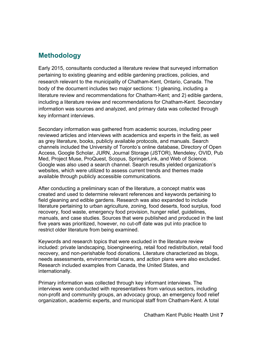## **Methodology**

Early 2015, consultants conducted a literature review that surveyed information pertaining to existing gleaning and edible gardening practices, policies, and research relevant to the municipality of Chatham-Kent, Ontario, Canada. The body of the document includes two major sections: 1) gleaning, including a literature review and recommendations for Chatham-Kent; and 2) edible gardens, including a literature review and recommendations for Chatham-Kent. Secondary information was sources and analyzed, and primary data was collected through key informant interviews.

Secondary information was gathered from academic sources, including peer reviewed articles and interviews with academics and experts in the field, as well as grey literature, books, publicly available protocols, and manuals. Search channels included the University of Toronto's online database, Directory of Open Access, Google Scholar, JURN, Journal Storage (JSTOR), Mendeley, OVID, Pub Med, Project Muse, ProQuest, Scopus, SpringerLink, and Web of Science. Google was also used a search channel. Search results yielded organization's websites, which were utilized to assess current trends and themes made available through publicly accessible communications.

After conducting a preliminary scan of the literature, a concept matrix was created and used to determine relevant references and keywords pertaining to field gleaning and edible gardens. Research was also expanded to include literature pertaining to urban agriculture, zoning, food deserts, food surplus, food recovery, food waste, emergency food provision, hunger relief, guidelines, manuals, and case studies. Sources that were published and produced in the last five years was prioritized, however, no cut-off date was put into practice to restrict older literature from being examined.

Keywords and research topics that were excluded in the literature review included: private landscaping, bioengineering, retail food redistribution, retail food recovery, and non-perishable food donations. Literature characterized as blogs, needs assessments, environmental scans, and action plans were also excluded. Research included examples from Canada, the United States, and internationally.

Primary information was collected through key informant interviews. The interviews were conducted with representatives from various sectors, including non-profit and community groups, an advocacy group, an emergency food relief organization, academic experts, and municipal staff from Chatham-Kent. A total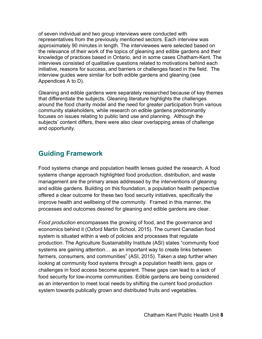of seven individual and two group interviews were conducted with representatives from the previously mentioned sectors. Each interview was approximately 90 minutes in length. The interviewees were selected based on the relevance of their work of the topics of gleaning and edible gardens and their knowledge of practices based in Ontario, and in some cases Chatham-Kent. The interviews consisted of qualitative questions related to motivations behind each initiative, reasons for success, and barriers or challenges faced in the field. The interview guides were similar for both edible gardens and gleaning (see Appendices A to D).

Gleaning and edible gardens were separately researched because of key themes that differentiate the subjects. Gleaning literature highlights the challenges around the food charity model and the need for greater participation from various community stakeholders, while research on edible gardens predominantly focuses on issues relating to public land use and planning. Although the subjects' content differs, there were also clear overlapping areas of challenge and opportunity.

# **Guiding Framework**

Food systems change and population health lenses guided the research. A food systems change approach highlighted food production, distribution, and waste management are the primary areas addressed by the interventions of gleaning and edible gardens. Building on this foundation, a population health perspective offered a clear outcome for these two food security initiatives, specifically the improve health and wellbeing of the community. Framed in this manner, the processes and outcomes desired for gleaning and edible gardens are clear.

*Food production* encompasses the growing of food, and the governance and economics behind it (Oxford Martin School, 2015). The current Canadian food system is situated within a web of policies and processes that regulate production. The Agriculture Sustainability Institute (ASI) states "community food systems are gaining attention… as an important way to create links between farmers, consumers, and communities" (ASI, 2015). Taken a step further when looking at community food systems through a population health lens, gaps or challenges in food access become apparent. These gaps can lead to a lack of food security for low-income communities. Edible gardens are being considered as an intervention to meet local needs by shifting the current food production system towards publically grown and distributed fruits and vegetables.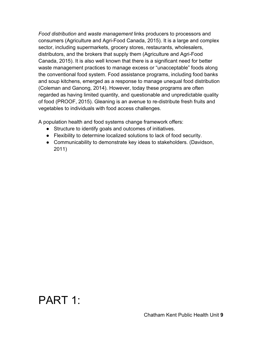*Food distribution* and *waste management* links producers to processors and consumers (Agriculture and Agri-Food Canada, 2015). It is a large and complex sector, including supermarkets, grocery stores, restaurants, wholesalers, distributors, and the brokers that supply them (Agriculture and Agri-Food Canada, 2015). It is also well known that there is a significant need for better waste management practices to manage excess or "unacceptable" foods along the conventional food system. Food assistance programs, including food banks and soup kitchens, emerged as a response to manage unequal food distribution (Coleman and Ganong, 2014). However, today these programs are often regarded as having limited quantity, and questionable and unpredictable quality of food (PROOF, 2015). Gleaning is an avenue to re-distribute fresh fruits and vegetables to individuals with food access challenges.

A population health and food systems change framework offers:

- Structure to identify goals and outcomes of initiatives.
- Flexibility to determine localized solutions to lack of food security.
- Communicability to demonstrate key ideas to stakeholders. (Davidson, 2011)

# PART 1: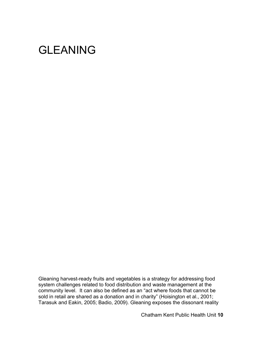# GLEANING

Gleaning harvest-ready fruits and vegetables is a strategy for addressing food system challenges related to food distribution and waste management at the community level. It can also be defined as an "act where foods that cannot be sold in retail are shared as a donation and in charity" (Hoisington et al., 2001; Tarasuk and Eakin, 2005; Badio, 2009). Gleaning exposes the dissonant reality

Chatham Kent Public Health Unit **10**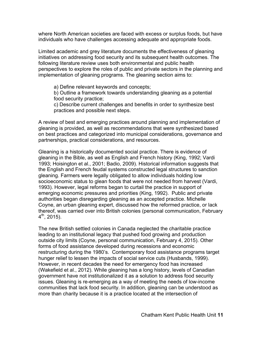where North American societies are faced with excess or surplus foods, but have individuals who have challenges accessing adequate and appropriate foods.

Limited academic and grey literature documents the effectiveness of gleaning initiatives on addressing food security and its subsequent health outcomes. The following literature review uses both environmental and public health perspectives to explore the roles of public and private sectors in the planning and implementation of gleaning programs. The gleaning section aims to:

a) Define relevant keywords and concepts;

b) Outline a framework towards understanding gleaning as a potential food security practice;

c) Describe current challenges and benefits in order to synthesize best practices and possible next steps.

A review of best and emerging practices around planning and implementation of gleaning is provided, as well as recommendations that were synthesized based on best practices and categorized into municipal considerations, governance and partnerships, practical considerations, and resources.

Gleaning is a historically documented social practice. There is evidence of gleaning in the Bible, as well as English and French history (King, 1992; Vardi 1993; Hoisington et al., 2001; Badio, 2009). Historical information suggests that the English and French feudal systems constructed legal structures to sanction gleaning. Farmers were legally obligated to allow individuals holding low socioeconomic status to glean foods that were not needed from harvest (Vardi, 1993). However, legal reforms began to curtail the practice in support of emerging economic pressures and priorities (King, 1992). Public and private authorities began disregarding gleaning as an accepted practice. Michelle Coyne, an urban gleaning expert, discussed how the reformed practice, or lack thereof, was carried over into British colonies (personal communication, February  $4^{\text{th}}$ , 2015).

The new British settled colonies in Canada neglected the charitable practice leading to an institutional legacy that pushed food growing and production outside city limits (Coyne, personal communication, February 4, 2015). Other forms of food assistance developed during recessions and economic restructuring during the 1980's. Contemporary food assistance programs target hunger relief to lessen the impacts of social service cuts (Husbands, 1999). However, in recent decades the need for emergency food has increased (Wakefield et al., 2012). While gleaning has a long history, levels of Canadian government have not institutionalized it as a solution to address food security issues. Gleaning is re-emerging as a way of meeting the needs of low-income communities that lack food security. In addition, gleaning can be understood as more than charity because it is a practice located at the intersection of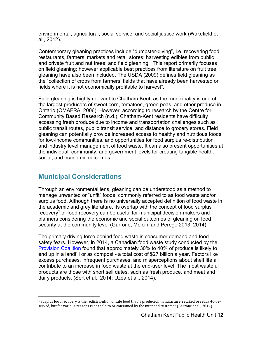environmental, agricultural, social service, and social justice work (Wakefield et al., 2012).

Contemporary gleaning practices include "dumpster-diving", i.e. recovering food restaurants, farmers' markets and retail stores; harvesting edibles from public and private fruit and nut trees; and field gleaning. This report primarily focuses on field gleaning; however applicable best practices from literature on fruit tree gleaning have also been included. The USDA (2009) defines field gleaning as the "collection of crops from farmers' fields that have already been harvested or fields where it is not economically profitable to harvest".

Field gleaning is highly relevant to Chatham-Kent, as the municipality is one of the largest producers of sweet corn, tomatoes, green peas, and other produce in Ontario (OMAFRA, 2006). However, according to research by the Centre for Community Based Research (n.d.), Chatham-Kent residents have difficulty accessing fresh produce due to income and transportation challenges such as public transit routes, public transit service, and distance to grocery stores. Field gleaning can potentially provide increased access to healthy and nutritious foods for low-income communities, and opportunities for food surplus re-distribution and industry level management of food waste. It can also present opportunities at the individual, community, and government levels for creating tangible health, social, and economic outcomes.

## **Municipal Considerations**

 

Through an environmental lens, gleaning can be understood as a method to manage unwanted or "unfit" foods, commonly referred to as food waste and/or surplus food. Although there is no universally accepted definition of food waste in the academic and grey literature, its overlap with the concept of food surplus recovery<sup>1</sup> or food recovery can be useful for municipal decision-makers and planners considering the economic and social outcomes of gleaning on food security at the community level (Garrone, Melcini and Perego 2013; 2014).

The primary driving force behind food waste is consumer demand and food safety fears. However, in 2014, a Canadian food waste study conducted by the Provision Coalition found that approximately 30% to 40% of produce is likely to end up in a landfill or as compost - a total cost of \$27 billion a year. Factors like excess purchases, infrequent purchases, and misperceptions about shelf life all contribute to an increase in food waste at the end-user level. The most wasteful products are those with short sell dates, such as fresh produce, and meat and dairy products. (Sert et al., 2014; Uzea et al., 2014).

<sup>&</sup>lt;sup>1</sup> Surplus food recovery is the redistribution of safe food that is produced, manufacture, retailed or ready-to-beserved, but for various reasons is not sold to or consumed by the intended customer (Garrone et al., 2014).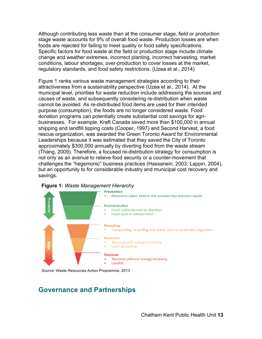Although contributing less waste than at the consumer stage, field or production stage waste accounts for 9% of overall food waste. Production losses are when foods are rejected for failing to meet quality or food safety specifications. Specific factors for food waste at the field or production stage include climate change and weather extremes, incorrect planting, incorrect harvesting, market conditions, labour shortages, over-production to cover losses at the market, regulatory standards, and food safety restrictions. (Uzea et al., 2014)

Figure 1 ranks various waste management strategies according to their attractiveness from a sustainability perspective (Uzea et al., 2014). At the municipal level, priorities for waste reduction include addressing the sources and causes of waste, and subsequently considering re-distribution when waste cannot be avoided. As re-distributed food items are used for their intended purpose (consumption), the foods are no longer considered waste. Food donation programs can potentially create substantial cost savings for agribusinesses. For example, Kraft Canada saved more than \$100,000 in annual shipping and landfill tipping costs (Cooper, 1997) and Second Harvest, a food rescue organization, was awarded the Green Toronto Award for Environmental Leaderships because it was estimated that they saved the City of Toronto approximately \$300,000 annually by diverting food from the waste stream (Thang, 2009). Therefore, a focused re-distribution strategy for consumption is not only as an avenue to relieve food security or a counter-movement that challenges the "hegemonic" business practices (Hassanein, 2003; Lappin, 2004), but an opportunity to for considerable industry and municipal cost recovery and savings.





*Source:* Waste Resources Action Programme, 2013

# **Governance and Partnerships**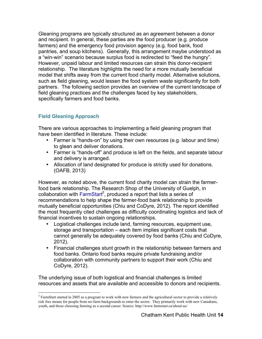Gleaning programs are typically structured as an agreement between a donor and recipient. In general, these parties are the food producer (e.g. produce farmers) and the emergency food provision agency (e.g. food bank, food pantries, and soup kitchens). Generally, this arrangement maybe understood as a "win-win" scenario because surplus food is redirected to "feed the hungry". However, unpaid labour and limited resources can strain this donor-recipient relationship. The literature highlights the need for a more mutually beneficial model that shifts away from the current food charity model. Alternative solutions, such as field gleaning, would lessen the food system waste significantly for both partners. The following section provides an overview of the current landscape of field gleaning practices and the challenges faced by key stakeholders, specifically farmers and food banks.

## **Field Gleaning Approach**

 

There are various approaches to implementing a field gleaning program that have been identified in literature. These include:

- Farmer is "hands-on" by using their own resources (e.g. labour and time) to glean and deliver donations.
- Farmer is "hands-off" and produce is left on the fields, and separate labour and delivery is arranged.
- Allocation of land designated for produce is strictly used for donations. (OAFB, 2013)

However, as noted above, the current food charity model can strain the farmerfood bank relationship. The Research Shop of the University of Guelph, in collaboration with FarmStart<sup>2</sup>, produced a report that lists a series of recommendations to help shape the farmer-food bank relationship to provide mutually beneficial opportunities (Chiu and CoDyre, 2012). The report identified the most frequently cited challenges as difficulty coordinating logistics and lack of financial incentives to sustain ongoing relationships.

- Logistical challenges include land, farming resources, equipment use, storage and transportation – each item implies significant costs that cannot generally be adequately covered by food banks (Chiu and CoDyre, 2012).
- Financial challenges stunt growth in the relationship between farmers and food banks. Ontario food banks require private fundraising and/or collaboration with community partners to support their work (Chiu and CoDyre, 2012).

The underlying issue of both logistical and financial challenges is limited resources and assets that are available and accessible to donors and recipients.

 $2$  FarmStart started in 2005 as a program to work with new farmers and the agricultural sector to provide a relatively risk free means for people from no-farm backgrounds to enter the sector. They primarily work with new Canadians, youth, and those choosing farming as a second career. Source: http://www.farmstart.ca/about-us/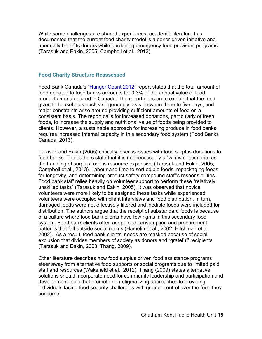While some challenges are shared experiences, academic literature has documented that the current food charity model is a donor-driven initiative and unequally benefits donors while burdening emergency food provision programs (Tarasuk and Eakin, 2005; Campbell et al., 2013).

### **Food Charity Structure Reassessed**

Food Bank Canada's "Hunger Count 2012" report states that the total amount of food donated to food banks accounts for 0.3% of the annual value of food products manufactured in Canada. The report goes on to explain that the food given to households each visit generally lasts between three to five days, and major constraints arise around providing sufficient amounts of food on a consistent basis. The report calls for increased donations, particularly of fresh foods, to increase the supply and nutritional value of foods being provided to clients. However, a sustainable approach for increasing produce in food banks requires increased internal capacity in this secondary food system (Food Banks Canada, 2013).

Tarasuk and Eakin (2005) critically discuss issues with food surplus donations to food banks. The authors state that it is not necessarily a "win-win" scenario, as the handling of surplus food is resource expensive (Tarasuk and Eakin, 2005; Campbell et al., 2013). Labour and time to sort edible foods, repackaging foods for longevity, and determining product safety compound staff's responsibilities. Food bank staff relies heavily on volunteer support to perform these "relatively unskilled tasks" (Tarasuk and Eakin, 2005). It was observed that novice volunteers were more likely to be assigned these tasks while experienced volunteers were occupied with client interviews and food distribution. In turn, damaged foods were not effectively filtered and inedible foods were included for distribution. The authors argue that the receipt of substandard foods is because of a culture where food bank clients have few rights in this secondary food system. Food bank clients often adopt food consumption and procurement patterns that fall outside social norms (Hamelin et al., 2002; Hitchman et al., 2002). As a result, food bank clients' needs are masked because of social exclusion that divides members of society as donors and "grateful" recipients (Tarasuk and Eakin, 2003; Thang, 2009).

Other literature describes how food surplus driven food assistance programs steer away from alternative food supports or social programs due to limited paid staff and resources (Wakefield et al., 2012). Thang (2009) states alternative solutions should incorporate need for community leadership and participation and development tools that promote non-stigmatizing approaches to providing individuals facing food security challenges with greater control over the food they consume.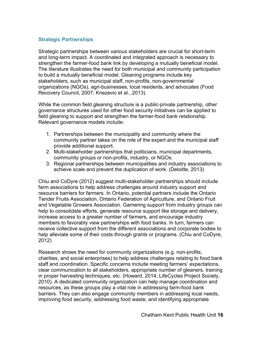## **Strategic Partnerships**

Strategic partnerships between various stakeholders are crucial for short-term and long-term impact. A coordinated and integrated approach is necessary to strengthen the farmer-food bank link by developing a mutually beneficial model. The literature illustrates the need for both municipal and community participation to build a mutually beneficial model. Gleaning programs include key stakeholders, such as municipal staff, non-profits, non-governmental organizations (NGOs), agri-businesses, local residents, and advocates (Food Recovery Council, 2007; Knezevic et al., 2013).

While the common field gleaning structure is a public-private partnership, other governance structures used for other food security initiatives can be applied to field gleaning to support and strengthen the farmer-food bank relationship. Relevant governance models include:

- 1. Partnerships between the municipality and community where the community partner takes on the role of the expert and the municipal staff provide additional support.
- 2. Multi-stakeholder partnerships that politicians, municipal departments, community groups or non-profits, industry, or NGOs.
- 3. Regional partnerships between municipalities and industry associations to achieve scale and prevent the duplication of work. (Deloitte, 2013)

Chiu and CoDyre (2012) suggest multi-stakeholder partnerships should include farm associations to help address challenges around industry support and resource barriers for farmers. In Ontario, potential partners include the Ontario Tender Fruits Association, Ontario Federation of Agriculture, and Ontario Fruit and Vegetable Growers Association. Garnering support from industry groups can help to consolidate efforts, generate resource support like storage and delivery, increase access to a greater number of farmers, and encourage industry members to favorably view partnerships with food banks. In turn, farmers can receive collective support from the different associations and corporate bodies to help alleviate some of their costs through grants or programs. (Chiu and CoDyre, 2012)

Research shows the need for community organizations (e.g. non-profits, charities, and social enterprises) to help address challenges relating to food bank staff and coordination. Specific concerns include meeting farmers' expectations, clear communication to all stakeholders, appropriate number of gleaners, training in proper harvesting techniques, etc. (Howard, 2014; LifeCycles Project Society, 2010). A dedicated community organization can help manage coordination and resources, as these groups play a vital role in addressing farm-food bank barriers. They can also engage community members in addressing local needs, improving food security, addressing food waste, and identifying appropriate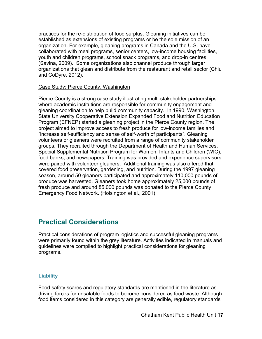practices for the re-distribution of food surplus. Gleaning initiatives can be established as extensions of existing programs or be the sole mission of an organization. For example, gleaning programs in Canada and the U.S. have collaborated with meal programs, senior centers, low-income housing facilities, youth and children programs, school snack programs, and drop-in centres (Savina, 2009). Some organizations also channel produce through larger organizations that glean and distribute from the restaurant and retail sector (Chiu and CoDyre, 2012).

### Case Study: Pierce County, Washington

Pierce County is a strong case study illustrating multi-stakeholder partnerships where academic institutions are responsible for community engagement and gleaning coordination to help build community capacity. In 1990, Washington State University Cooperative Extension Expanded Food and Nutrition Education Program (EFNEP) started a gleaning project in the Pierce County region. The project aimed to improve access to fresh produce for low-income families and "increase self-sufficiency and sense of self-worth of participants". Gleaning volunteers or gleaners were recruited from a range of community stakeholder groups. They recruited through the Department of Health and Human Services, Special Supplemental Nutrition Program for Women, Infants and Children (WIC), food banks, and newspapers. Training was provided and experience supervisors were paired with volunteer gleaners. Additional training was also offered that covered food preservation, gardening, and nutrition. During the 1997 gleaning season, around 50 gleaners participated and approximately 110,000 pounds of produce was harvested. Gleaners took home approximately 25,000 pounds of fresh produce and around 85,000 pounds was donated to the Pierce County Emergency Food Network. (Hoisington et al., 2001)

## **Practical Considerations**

Practical considerations of program logistics and successful gleaning programs were primarily found within the grey literature. Activities indicated in manuals and guidelines were compiled to highlight practical considerations for gleaning programs.

#### **Liability**

Food safety scares and regulatory standards are mentioned in the literature as driving forces for unsalable foods to become considered as food waste. Although food items considered in this category are generally edible, regulatory standards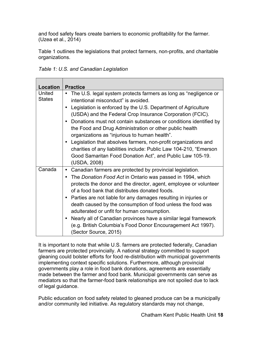and food safety fears create barriers to economic profitability for the farmer. (Uzea et al., 2014)

Table 1 outlines the legislations that protect farmers, non-profits, and charitable organizations.

|  |  |  |  | Table 1: U.S. and Canadian Legislation |
|--|--|--|--|----------------------------------------|
|--|--|--|--|----------------------------------------|

| Location                | <b>Practice</b>                                                                                                                                                                                                                                                                                                                                                                                                                                                                                                                                                                                                                      |
|-------------------------|--------------------------------------------------------------------------------------------------------------------------------------------------------------------------------------------------------------------------------------------------------------------------------------------------------------------------------------------------------------------------------------------------------------------------------------------------------------------------------------------------------------------------------------------------------------------------------------------------------------------------------------|
| United<br><b>States</b> | The U.S. legal system protects farmers as long as "negligence or<br>intentional misconduct" is avoided.<br>Legislation is enforced by the U.S. Department of Agriculture<br>$\bullet$<br>(USDA) and the Federal Crop Insurance Corporation (FCIC).<br>• Donations must not contain substances or conditions identified by<br>the Food and Drug Administration or other public health<br>organizations as "injurious to human health".<br>• Legislation that absolves farmers, non-profit organizations and                                                                                                                           |
|                         | charities of any liabilities include: Public Law 104-210, "Emerson<br>Good Samaritan Food Donation Act", and Public Law 105-19.<br>(USDA, 2008)                                                                                                                                                                                                                                                                                                                                                                                                                                                                                      |
| Canada                  | Canadian farmers are protected by provincial legislation.<br>$\bullet$<br>The Donation Food Act in Ontario was passed in 1994, which<br>$\bullet$<br>protects the donor and the director, agent, employee or volunteer<br>of a food bank that distributes donated foods.<br>• Parties are not liable for any damages resulting in injuries or<br>death caused by the consumption of food unless the food was<br>adulterated or unfit for human consumption.<br>Nearly all of Canadian provinces have a similar legal framework<br>$\bullet$<br>(e.g. British Columbia's Food Donor Encouragement Act 1997).<br>(Sector Source, 2015) |

It is important to note that while U.S. farmers are protected federally, Canadian farmers are protected provincially. A national strategy committed to support gleaning could bolster efforts for food re-distribution with municipal governments implementing context specific solutions. Furthermore, although provincial governments play a role in food bank donations, agreements are essentially made between the farmer and food bank. Municipal governments can serve as mediators so that the farmer-food bank relationships are not spoiled due to lack of legal guidance.

Public education on food safety related to gleaned produce can be a municipally and/or community led initiative. As regulatory standards may not change,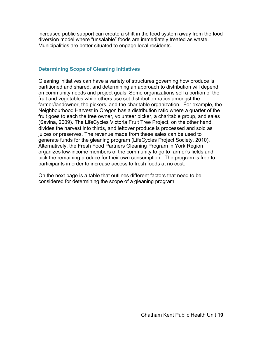increased public support can create a shift in the food system away from the food diversion model where "unsalable" foods are immediately treated as waste. Municipalities are better situated to engage local residents.

### **Determining Scope of Gleaning Initiatives**

Gleaning initiatives can have a variety of structures governing how produce is partitioned and shared, and determining an approach to distribution will depend on community needs and project goals. Some organizations sell a portion of the fruit and vegetables while others use set distribution ratios amongst the farmer/landowner, the pickers, and the charitable organization. For example, the Neighbourhood Harvest in Oregon has a distribution ratio where a quarter of the fruit goes to each the tree owner, volunteer picker, a charitable group, and sales (Savina, 2009). The LifeCycles Victoria Fruit Tree Project, on the other hand, divides the harvest into thirds, and leftover produce is processed and sold as juices or preserves. The revenue made from these sales can be used to generate funds for the gleaning program (LifeCycles Project Society, 2010). Alternatively, the Fresh Food Partners Gleaning Program in York Region organizes low-income members of the community to go to farmer's fields and pick the remaining produce for their own consumption. The program is free to participants in order to increase access to fresh foods at no cost.

On the next page is a table that outlines different factors that need to be considered for determining the scope of a gleaning program.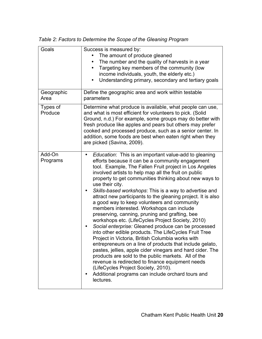| Goals               | Success is measured by:<br>The amount of produce gleaned<br>The number and the quality of harvests in a year<br>٠<br>Targeting key members of the community (low<br>٠<br>income individuals, youth, the elderly etc.)<br>Understanding primary, secondary and tertiary goals<br>$\bullet$                                                                                                                                                                                                                                                                                                                                                                                                                                                                                                                                                                                                                                                                                                                                                                                                                                                                           |
|---------------------|---------------------------------------------------------------------------------------------------------------------------------------------------------------------------------------------------------------------------------------------------------------------------------------------------------------------------------------------------------------------------------------------------------------------------------------------------------------------------------------------------------------------------------------------------------------------------------------------------------------------------------------------------------------------------------------------------------------------------------------------------------------------------------------------------------------------------------------------------------------------------------------------------------------------------------------------------------------------------------------------------------------------------------------------------------------------------------------------------------------------------------------------------------------------|
| Geographic<br>Area  | Define the geographic area and work within testable<br>parameters                                                                                                                                                                                                                                                                                                                                                                                                                                                                                                                                                                                                                                                                                                                                                                                                                                                                                                                                                                                                                                                                                                   |
| Types of<br>Produce | Determine what produce is available, what people can use,<br>and what is most efficient for volunteers to pick. (Solid<br>Ground, n.d.) For example, some groups may do better with<br>fresh produce like apples and pears but others may prefer<br>cooked and processed produce, such as a senior center. In<br>addition, some foods are best when eaten right when they<br>are picked (Savina, 2009).                                                                                                                                                                                                                                                                                                                                                                                                                                                                                                                                                                                                                                                                                                                                                             |
| Add-On<br>Programs  | Education: This is an important value-add to gleaning<br>$\bullet$<br>efforts because it can be a community engagement<br>tool. Example, The Fallen Fruit project in Los Angeles<br>involved artists to help map all the fruit on public<br>property to get communities thinking about new ways to<br>use their city.<br>Skills-based workshops: This is a way to advertise and<br>attract new participants to the gleaning project. It is also<br>a good way to keep volunteers and community<br>members interested. Workshops can include<br>preserving, canning, pruning and grafting, bee<br>workshops etc. (LifeCycles Project Society, 2010)<br>Social enterprise: Gleaned produce can be processed<br>into other edible products. The LifeCycles Fruit Tree<br>Project in Victoria, British Columbia works with<br>entrepreneurs on a line of products that include gelato,<br>pastes, jellies, apple cider vinegars and hard cider. The<br>products are sold to the public markets. All of the<br>revenue is redirected to finance equipment needs<br>(LifeCycles Project Society, 2010).<br>Additional programs can include orchard tours and<br>lectures. |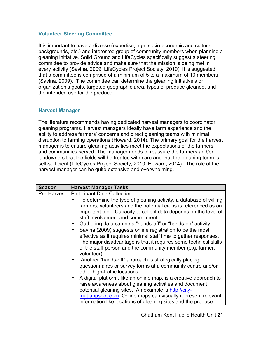### **Volunteer Steering Committee**

It is important to have a diverse (expertise, age, socio-economic and cultural backgrounds, etc.) and interested group of community members when planning a gleaning initiative. Solid Ground and LifeCycles specifically suggest a steering committee to provide advice and make sure that the mission is being met in every activity (Savina, 2009; LifeCycles Project Society, 2010). It is suggested that a committee is comprised of a minimum of 5 to a maximum of 10 members (Savina, 2009). The committee can determine the gleaning initiative's or organization's goals, targeted geographic area, types of produce gleaned, and the intended use for the produce.

### **Harvest Manager**

The literature recommends having dedicated harvest managers to coordinator gleaning programs. Harvest managers ideally have farm experience and the ability to address farmers' concerns and direct gleaning teams with minimal disruption to farming operations (Howard, 2014). The primary goal for the harvest manager is to ensure gleaning activities meet the expectations of the farmers and communities served. The manager needs to reassure the farmers and/or landowners that the fields will be treated with care and that the gleaning team is self-sufficient (LifeCycles Project Society, 2010; Howard, 2014). The role of the harvest manager can be quite extensive and overwhelming.

| <b>Season</b> | <b>Harvest Manager Tasks</b>                                                                                                                                                                                                                                                                                                                                                                                                                                                                                                                                                                                                                                                                                                                                                                                                                                                                                                                                                                                                                                                                                                       |
|---------------|------------------------------------------------------------------------------------------------------------------------------------------------------------------------------------------------------------------------------------------------------------------------------------------------------------------------------------------------------------------------------------------------------------------------------------------------------------------------------------------------------------------------------------------------------------------------------------------------------------------------------------------------------------------------------------------------------------------------------------------------------------------------------------------------------------------------------------------------------------------------------------------------------------------------------------------------------------------------------------------------------------------------------------------------------------------------------------------------------------------------------------|
| Pre-Harvest   | Participant Data Collection:<br>To determine the type of gleaning activity, a database of willing<br>farmers, volunteers and the potential crops is referenced as an<br>important tool. Capacity to collect data depends on the level of<br>staff involvement and commitment.<br>Gathering data can be a "hands-off" or "hands-on" activity.<br>Savina (2009) suggests online registration to be the most<br>$\bullet$<br>effective as it requires minimal staff time to gather responses.<br>The major disadvantage is that it requires some technical skills<br>of the staff person and the community member (e.g. farmer,<br>volunteer).<br>Another "hands-off" approach is strategically placing<br>questionnaires or survey forms at a community centre and/or<br>other high-traffic locations.<br>A digital platform, like an online map, is a creative approach to<br>٠<br>raise awareness about gleaning activities and document<br>potential gleaning sites. An example is http://city-<br>fruit.appspot.com. Online maps can visually represent relevant<br>information like locations of gleaning sites and the produce |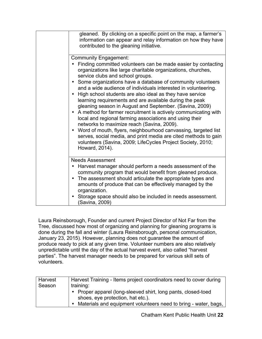| gleaned. By clicking on a specific point on the map, a farmer's<br>information can appear and relay information on how they have<br>contributed to the gleaning initiative.                                                                                                                                                                                                                                                                                                                                                                                                                                                                                                                                                                                                                                                                                                                                                                                 |
|-------------------------------------------------------------------------------------------------------------------------------------------------------------------------------------------------------------------------------------------------------------------------------------------------------------------------------------------------------------------------------------------------------------------------------------------------------------------------------------------------------------------------------------------------------------------------------------------------------------------------------------------------------------------------------------------------------------------------------------------------------------------------------------------------------------------------------------------------------------------------------------------------------------------------------------------------------------|
| <b>Community Engagement:</b><br>Finding committed volunteers can be made easier by contacting<br>organizations like large charitable organizations, churches,<br>service clubs and school groups.<br>Some organizations have a database of community volunteers<br>$\bullet$<br>and a wide audience of individuals interested in volunteering.<br>High school students are also ideal as they have service<br>$\bullet$<br>learning requirements and are available during the peak<br>gleaning season in August and September. (Savina, 2009)<br>A method for farmer recruitment is actively communicating with<br>local and regional farming associations and using their<br>networks to maximize reach (Savina, 2009).<br>Word of mouth, flyers, neighbourhood canvassing, targeted list<br>$\bullet$<br>serves, social media, and print media are cited methods to gain<br>volunteers (Savina, 2009; LifeCycles Project Society, 2010;<br>Howard, 2014). |
| <b>Needs Assessment</b><br>Harvest manager should perform a needs assessment of the<br>community program that would benefit from gleaned produce.<br>The assessment should articulate the appropriate types and<br>$\bullet$<br>amounts of produce that can be effectively managed by the<br>organization.<br>Storage space should also be included in needs assessment.<br>$\bullet$<br>(Savina, 2009)                                                                                                                                                                                                                                                                                                                                                                                                                                                                                                                                                     |

Laura Reinsborough, Founder and current Project Director of Not Far from the Tree, discussed how most of organizing and planning for gleaning programs is done during the fall and winter (Laura Reinsborough, personal communication, January 23, 2015). However, planning does not guarantee the amount of produce ready to pick at any given time. Volunteer numbers are also relatively unpredictable until the day of the actual harvest event, also called "harvest parties". The harvest manager needs to be prepared for various skill sets of volunteers.

| <b>Harvest</b><br>Season | Harvest Training - Items project coordinators need to cover during<br>training:                                                                                       |
|--------------------------|-----------------------------------------------------------------------------------------------------------------------------------------------------------------------|
|                          | • Proper apparel (long-sleeved shirt, long pants, closed-toed<br>shoes, eye protection, hat etc.).<br>Materials and equipment volunteers need to bring - water, bags, |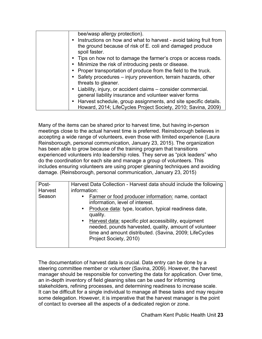| bee/wasp allergy protection).<br>• Instructions on how and what to harvest - avoid taking fruit from<br>the ground because of risk of E. coli and damaged produce                                           |
|-------------------------------------------------------------------------------------------------------------------------------------------------------------------------------------------------------------|
| spoil faster.<br>• Tips on how not to damage the farmer's crops or access roads.<br>• Minimize the risk of introducing pests or disease.<br>• Proper transportation of produce from the field to the truck. |
| • Safety procedures – injury prevention, terrain hazards, other<br>threats to gleaner.                                                                                                                      |
| • Liability, injury, or accident claims – consider commercial.<br>general liability insurance and volunteer waiver forms<br>• Harvest schedule, group assignments, and site specific details.               |
| Howard, 2014; LifeCycles Project Society, 2010; Savina, 2009)                                                                                                                                               |

Many of the items can be shared prior to harvest time, but having in-person meetings close to the actual harvest time is preferred. Reinsborough believes in accepting a wide range of volunteers, even those with limited experience (Laura Reinsborough, personal communication, January 23, 2015). The organization has been able to grow because of the training program that transitions experienced volunteers into leadership roles. They serve as "pick leaders" who do the coordination for each site and manage a group of volunteers. This includes ensuring volunteers are using proper gleaning techniques and avoiding damage. (Reinsborough, personal communication, January 23, 2015)

| Post-   | Harvest Data Collection - Harvest data should include the following                                                                                                                                                                                                                                                                                                           |
|---------|-------------------------------------------------------------------------------------------------------------------------------------------------------------------------------------------------------------------------------------------------------------------------------------------------------------------------------------------------------------------------------|
| Harvest | information:                                                                                                                                                                                                                                                                                                                                                                  |
| Season  | Farmer or food producer information: name, contact<br>$\bullet$<br>information, level of interest.<br>Produce data: type, location, typical readiness date,<br>$\bullet$<br>quality.<br>Harvest data: specific plot accessibility, equipment<br>$\bullet$<br>needed, pounds harvested, quality, amount of volunteer<br>time and amount distributed. (Savina, 2009; LifeCycles |
|         | Project Society, 2010)                                                                                                                                                                                                                                                                                                                                                        |

The documentation of harvest data is crucial. Data entry can be done by a steering committee member or volunteer (Savina, 2009). However, the harvest manager should be responsible for converting the data for application. Over time, an in-depth inventory of field gleaning sites can be used for informing stakeholders, refining processes, and determining readiness to increase scale. It can be difficult for a single individual to manage all these tasks and may require some delegation. However, it is imperative that the harvest manager is the point of contact to oversee all the aspects of a dedicated region or zone.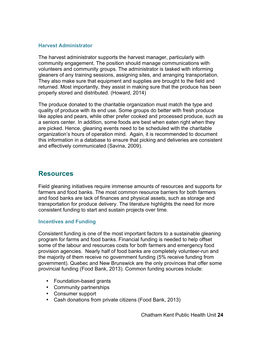### **Harvest Administrator**

The harvest administrator supports the harvest manager, particularly with community engagement. The position should manage communications with volunteers and community groups. The administrator is tasked with informing gleaners of any training sessions, assigning sites, and arranging transportation. They also make sure that equipment and supplies are brought to the field and returned. Most importantly, they assist in making sure that the produce has been properly stored and distributed. (Howard, 2014)

The produce donated to the charitable organization must match the type and quality of produce with its end use. Some groups do better with fresh produce like apples and pears, while other prefer cooked and processed produce, such as a seniors center. In addition, some foods are best when eaten right when they are picked. Hence, gleaning events need to be scheduled with the charitable organization's hours of operation mind. Again, it is recommended to document this information in a database to ensure that picking and deliveries are consistent and effectively communicated (Savina, 2009).

## **Resources**

Field gleaning initiatives require immense amounts of resources and supports for farmers and food banks. The most common resource barriers for both farmers and food banks are lack of finances and physical assets, such as storage and transportation for produce delivery. The literature highlights the need for more consistent funding to start and sustain projects over time.

### **Incentives and Funding**

Consistent funding is one of the most important factors to a sustainable gleaning program for farms and food banks. Financial funding is needed to help offset some of the labour and resources costs for both farmers and emergency food provision agencies. Nearly half of food banks are completely volunteer-run and the majority of them receive no government funding (5% receive funding from government). Quebec and New Brunswick are the only provinces that offer some provincial funding (Food Bank, 2013). Common funding sources include:

- Foundation-based grants
- Community partnerships
- Consumer support
- Cash donations from private citizens (Food Bank, 2013)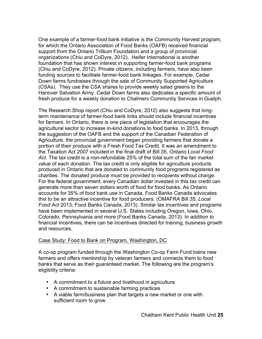One example of a farmer-food bank initiative is the Community Harvest program, for which the Ontario Association of Food Banks (OAFB) received financial support from the Ontario Trillium Foundation and a group of provincial organizations (Chiu and CoDyre, 2012). Heifer International is another foundation that has shown interest in supporting farmer-food bank programs (Chiu and CoDyre, 2012). Private citizens, including farmers, have also been funding sources to facilitate farmer-food bank linkages. For example, Cedar Down farms fundraises through the sale of Community Supported Agriculture (CSAs). They use the CSA shares to provide weekly salad greens to the Hanover Salvation Army. Cedar Down farms also dedicates a specific amount of fresh produce for a weekly donation to Chalmers Community Services in Guelph.

The Research Shop report (Chiu and CoDyre, 2012) also suggests that longterm maintenance of farmer-food bank links should include financial incentives for farmers. In Ontario, there is one piece of legislation that encourages the agricultural sector to increase in-kind donations to food banks. In 2013, through the suggestion of the OAFB and the support of the Canadian Federation of Agriculture, the provincial government began providing farmers that donate a portion of their produce with a Fresh Food Tax Credit. It was an amendment to the Taxation Act 2007 included in the final draft of Bill 35, *Ontario Local Food Act*. The tax credit is a non-refundable 25% of the total sum of the fair market value of each donation. The tax credit is only eligible for agriculture products produced in Ontario that are donated to community food programs registered as charities. The donated produce must be provided to recipients without charge. For the federal government, every Canadian dollar invested in this tax credit can generate more than seven dollars worth of food for food banks. As Ontario accounts for 35% of food bank use in Canada, Food Banks Canada advocates this to be an attractive incentive for food producers. (OMAFRA Bill 35; *Local Food Act* 2013; Food Banks Canada, 2013). Similar tax incentives and programs have been implemented in several U.S. States including Oregon, Iowa, Ohio, Colorado, Pennsylvania and more (Food Banks Canada, 2013). In addition to financial incentives, there can be incentives directed for training, business growth and resources.

#### Case Study: Food to Bank on Program, Washington, DC

A co-op program funded through the Washington Co-op Farm Fund trains new farmers and offers mentorship by veteran farmers and connects them to food banks that serve as their guaranteed market. The following are the program's eligibility criteria:

- A commitment to a future and livelihood in agriculture
- A commitment to sustainable farming practices
- A viable farm/business plan that targets a new market or one with sufficient room to grow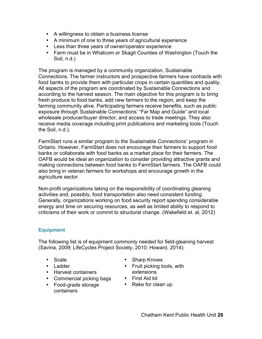- A willingness to obtain a business license
- A minimum of one to three years of agricultural experience
- Less than three years of owner/operator experience
- Farm must be in Whatcom or Skagit Counties of Washington (Touch the Soil, n.d.)

The program is managed by a community organization, Sustainable Connections. The farmer instructors and prospective farmers have contracts with food banks to provide them with particular crops in certain quantities and quality. All aspects of the program are coordinated by Sustainable Connections and according to the harvest season. The main objective for this program is to bring fresh produce to food banks, add new farmers to the region, and keep the farming community alive. Participating farmers receive benefits, such as public exposure through Sustainable Connections' "Far Map and Guide" and local wholesale producer/buyer director, and access to trade meetings. They also receive media coverage including print publications and marketing tools (Touch the Soil, n.d.).

FarmStart runs a similar program to the Sustainable Connections' program in Ontario. However, FarmStart does not encourage their farmers to support food banks or collaborate with food banks as a market place for their farmers. The OAFB would be ideal an organization to consider providing attractive grants and making connections between food banks to FarmStart farmers. The OAFB could also bring in veteran farmers for workshops and encourage growth in the agriculture sector.

Non-profit organizations taking on the responsibility of coordinating gleaning activities and, possibly, food transportation also need consistent funding. Generally, organizations working on food security report spending considerable energy and time on securing resources, as well as limited ability to respond to criticisms of their work or commit to structural change. (Wakefield et. al, 2012)

## **Equipment**

The following list is of equipment commonly needed for field-gleaning harvest (Savina, 2009; LifeCycles Project Society, 2010; Howard, 2014):

- Scale
- Ladder
- Harvest containers
- Commercial picking bags
- Food-grade storage containers
- Sharp Knives
- Fruit picking tools, with extensions
- First Aid kit
- Rake for clean up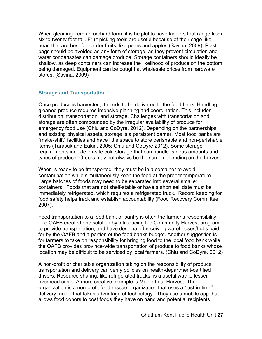When gleaning from an orchard farm, it is helpful to have ladders that range from six to twenty feet tall. Fruit picking tools are useful because of their cage-like head that are best for harder fruits, like pears and apples (Savina, 2009). Plastic bags should be avoided as any form of storage, as they prevent circulation and water condensates can damage produce. Storage containers should ideally be shallow, as deep containers can increase the likelihood of produce on the bottom being damaged. Equipment can be bought at wholesale prices from hardware stores. (Savina, 2009)

### **Storage and Transportation**

Once produce is harvested, it needs to be delivered to the food bank. Handling gleaned produce requires intensive planning and coordination. This includes distribution, transportation, and storage. Challenges with transportation and storage are often compounded by the irregular availability of produce for emergency food use (Chiu and CoDyre, 2012). Depending on the partnerships and existing physical assets, storage is a persistent barrier. Most food banks are "make-shift" facilities and have little space to store perishable and non-perishable items (Tarasuk and Eakin, 2005; Chiu and CoDyre 2012). Some storage requirements include on-site cold storage that can handle various amounts and types of produce. Orders may not always be the same depending on the harvest.

When is ready to be transported, they must be in a container to avoid contamination while simultaneously keep the food at the proper temperature. Large batches of foods may need to be separated into several smaller containers. Foods that are not shelf-stable or have a short sell date must be immediately refrigerated, which requires a refrigerated truck. Record keeping for food safety helps track and establish accountability (Food Recovery Committee, 2007).

Food transportation to a food bank or pantry is often the farmer's responsibility. The OAFB created one solution by introducing the Community Harvest program to provide transportation, and have designated receiving warehouses/hubs paid for by the OAFB and a portion of the food banks budget. Another suggestion is for farmers to take on responsibility for bringing food to the local food bank while the OAFB provides province-wide transportation of produce to food banks whose location may be difficult to be serviced by local farmers. (Chiu and CoDyre, 2012)

A non-profit or charitable organization taking on the responsibility of produce transportation and delivery can verify policies on health-department-certified drivers. Resource sharing, like refrigerated trucks, is a useful way to lessen overhead costs. A more creative example is Maple Leaf Harvest. The organization is a non-profit food rescue organization that uses a "just-in-time" delivery model that takes advantage of technology. They use a mobile app that allows food donors to post foods they have on hand and potential recipients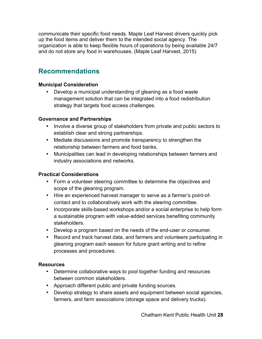communicate their specific food needs. Maple Leaf Harvest drivers quickly pick up the food items and deliver them to the intended social agency. The organization is able to keep flexible hours of operations by being available 24/7 and do not store any food in warehouses. (Maple Leaf Harvest, 2015)

# **Recommendations**

## **Municipal Consideration**

• Develop a municipal understanding of gleaning as a food waste management solution that can be integrated into a food redistribution strategy that targets food access challenges.

## **Governance and Partnerships**

- Involve a diverse group of stakeholders from private and public sectors to establish clear and strong partnerships.
- Mediate discussions and promote transparency to strengthen the relationship between farmers and food banks.
- Municipalities can lead in developing relationships between farmers and industry associations and networks.

## **Practical Considerations**

- Form a volunteer steering committee to determine the objectives and scope of the gleaning program.
- Hire an experienced harvest manager to serve as a farmer's point-ofcontact and to collaboratively work with the steering committee.
- Incorporate skills-based workshops and/or a social enterprise to help form a sustainable program with value-added services benefiting community stakeholders.
- Develop a program based on the needs of the end-user or consumer.
- Record and track harvest data, and farmers and volunteers participating in gleaning program each season for future grant writing and to refine processes and procedures.

## **Resources**

- Determine collaborative ways to pool together funding and resources between common stakeholders.
- Approach different public and private funding sources.
- Develop strategy to share assets and equipment between social agencies, farmers, and farm associations (storage space and delivery trucks).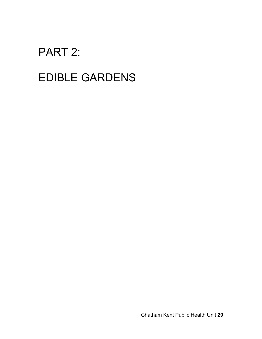# PART 2:

# EDIBLE GARDENS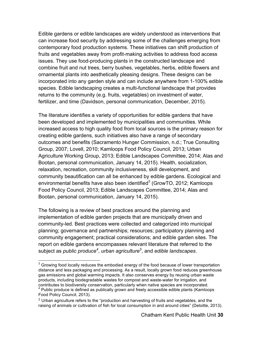Edible gardens or edible landscapes are widely understood as interventions that can increase food security by addressing some of the challenges emerging from contemporary food production systems. These initiatives can shift production of fruits and vegetables away from profit-making activities to address food access issues. They use food-producing plants in the constructed landscape and combine fruit and nut trees, berry bushes, vegetables, herbs, edible flowers and ornamental plants into aesthetically pleasing designs. These designs can be incorporated into any garden style and can include anywhere from 1-100% edible species. Edible landscaping creates a multi-functional landscape that provides returns to the community (e.g. fruits, vegetables) on investment of water, fertilizer, and time (Davidson, personal communication, December, 2015).

The literature identifies a variety of opportunities for edible gardens that have been developed and implemented by municipalities and communities. While increased access to high quality food from local sources is the primary reason for creating edible gardens, such initiatives also have a range of secondary outcomes and benefits (Sacramento Hunger Commission, n.d.; True Consulting Group, 2007; Lovell, 2010; Kamloops Food Policy Council, 2013; Urban Agriculture Working Group, 2013; Edible Landscapes Committee, 2014; Alas and Bootan, personal communication, January 14, 2015). Health, socialization, relaxation, recreation, community inclusiveness, skill development, and community beautification can all be enhanced by edible gardens. Ecological and environmental benefits have also been identified $3$  (GrowTO, 2012; Kamloops Food Policy Council, 2013; Edible Landscapes Committee, 2014; Alas and Bootan, personal communication, January 14, 2015).

The following is a review of best practices around the planning and implementation of edible garden projects that are municipally driven and community-led. Best practices were collected and categorized into municipal planning; governance and partnerships; resources; participatory planning and community engagement; practical considerations; and edible garden sites. The report on edible gardens encompasses relevant literature that referred to the subject as *public produce4* , *urban agriculture<sup>5</sup>* , and *edible landscapes*.

 $3$  Growing food locally reduces the embodied energy of the food because of lower transportation distance and less packaging and processing. As a result, locally grown food reduces greenhouse gas emissions and global warming impacts. It also conserves energy by reusing urban waste products, including biodegradable wastes for compost and waste-water for irrigation, and contributes to biodiversity conservation, particularly when native species are incorporated.  $4$  Public produce is defined as publically grown and freely accessible edible plants (Kamloops Food Policy Council, 2013).

<sup>5</sup> Urban agriculture refers to the "production and harvesting of fruits and vegetables, and the raising of animals or cultivation of fish for local consumption in and around cities" (Deloitte, 2013).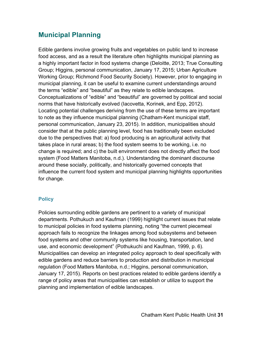# **Municipal Planning**

Edible gardens involve growing fruits and vegetables on public land to increase food access, and as a result the literature often highlights municipal planning as a highly important factor in food systems change (Deloitte, 2013; True Consulting Group; Higgins, personal communication, January 17, 2015; Urban Agriculture Working Group; Richmond Food Security Society). However, prior to engaging in municipal planning, it can be useful to examine current understandings around the terms "edible" and "beautiful" as they relate to edible landscapes. Conceptualizations of "edible" and "beautiful" are governed by political and social norms that have historically evolved (Iacovetta, Korinek, and Epp, 2012). Locating potential challenges deriving from the use of these terms are important to note as they influence municipal planning (Chatham-Kent municipal staff, personal communication, January 23, 2015). In addition, municipalities should consider that at the public planning level, food has traditionally been excluded due to the perspectives that: a) food producing is an agricultural activity that takes place in rural areas; b) the food system seems to be working, i.e. no change is required; and c) the built environment does not directly affect the food system (Food Matters Manitoba, n.d.). Understanding the dominant discourse around these socially, politically, and historically governed concepts that influence the current food system and municipal planning highlights opportunities for change.

## **Policy**

Policies surrounding edible gardens are pertinent to a variety of municipal departments. Pothukuch and Kaufman (1999) highlight current issues that relate to municipal policies in food systems planning, noting "the current piecemeal approach fails to recognize the linkages among food subsystems and between food systems and other community systems like housing, transportation, land use, and economic development" (Pothukuchi and Kaufman, 1999, p. 6). Municipalities can develop an integrated policy approach to deal specifically with edible gardens and reduce barriers to production and distribution in municipal regulation (Food Matters Manitoba, n.d.; Higgins, personal communication, January 17, 2015). Reports on best practices related to edible gardens identify a range of policy areas that municipalities can establish or utilize to support the planning and implementation of edible landscapes.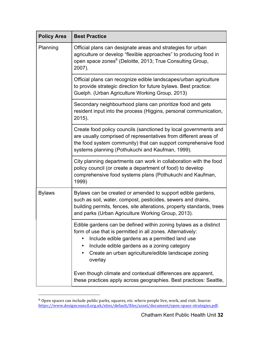| <b>Policy Area</b> | <b>Best Practice</b>                                                                                                                                                                                                                                                                                                             |
|--------------------|----------------------------------------------------------------------------------------------------------------------------------------------------------------------------------------------------------------------------------------------------------------------------------------------------------------------------------|
| Planning           | Official plans can designate areas and strategies for urban<br>agriculture or develop "flexible approaches" to producing food in<br>open space zones <sup>6</sup> (Deloitte, 2013; True Consulting Group,<br>2007).                                                                                                              |
|                    | Official plans can recognize edible landscapes/urban agriculture<br>to provide strategic direction for future bylaws. Best practice:<br>Guelph. (Urban Agriculture Working Group, 2013)                                                                                                                                          |
|                    | Secondary neighbourhood plans can prioritize food and gets<br>resident input into the process (Higgins, personal communication,<br>2015).                                                                                                                                                                                        |
|                    | Create food policy councils (sanctioned by local governments and<br>are usually comprised of representatives from different areas of<br>the food system community) that can support comprehensive food<br>systems planning (Pothukuchi and Kaufman, 1999).                                                                       |
|                    | City planning departments can work in collaboration with the food<br>policy council (or create a department of food) to develop<br>comprehensive food systems plans (Pothukuchi and Kaufman,<br>1999)                                                                                                                            |
| <b>Bylaws</b>      | Bylaws can be created or amended to support edible gardens,<br>such as soil, water, compost, pesticides, sewers and drains,<br>building permits, fences, site alterations, property standards, trees<br>and parks (Urban Agriculture Working Group, 2013).                                                                       |
|                    | Edible gardens can be defined within zoning bylaws as a distinct<br>form of use that is permitted in all zones. Alternatively:<br>Include edible gardens as a permitted land use<br>$\bullet$<br>Include edible gardens as a zoning category<br>$\bullet$<br>Create an urban agriculture/edible landscape zoning<br>٠<br>overlay |
|                    | Even though climate and contextual differences are apparent,<br>these practices apply across geographies. Best practices: Seattle,                                                                                                                                                                                               |

 $^6$  Open spaces can include public parks, squares, etc. where people live, work, and visit. Source: https://www.designcouncil.org.uk/sites/default/files/asset/document/open-space-strategies.pdf.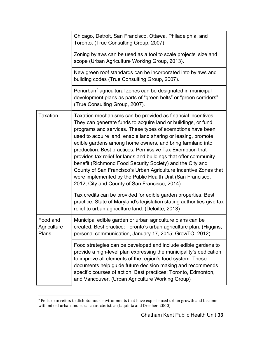|                                         | Chicago, Detroit, San Francisco, Ottawa, Philadelphia, and<br>Toronto. (True Consulting Group, 2007)                                                                                                                                                                                                                                                                                                                                                                                                                                                                                                                                                                                                        |
|-----------------------------------------|-------------------------------------------------------------------------------------------------------------------------------------------------------------------------------------------------------------------------------------------------------------------------------------------------------------------------------------------------------------------------------------------------------------------------------------------------------------------------------------------------------------------------------------------------------------------------------------------------------------------------------------------------------------------------------------------------------------|
|                                         | Zoning bylaws can be used as a tool to scale projects' size and<br>scope (Urban Agriculture Working Group, 2013).                                                                                                                                                                                                                                                                                                                                                                                                                                                                                                                                                                                           |
|                                         | New green roof standards can be incorporated into bylaws and<br>building codes (True Consulting Group, 2007).                                                                                                                                                                                                                                                                                                                                                                                                                                                                                                                                                                                               |
|                                         | Periurban <sup>7</sup> agricultural zones can be designated in municipal<br>development plans as parts of "green belts" or "green corridors"<br>(True Consulting Group, 2007).                                                                                                                                                                                                                                                                                                                                                                                                                                                                                                                              |
| <b>Taxation</b>                         | Taxation mechanisms can be provided as financial incentives.<br>They can generate funds to acquire land or buildings, or fund<br>programs and services. These types of exemptions have been<br>used to acquire land, enable land sharing or leasing, promote<br>edible gardens among home owners, and bring farmland into<br>production. Best practices: Permissive Tax Exemption that<br>provides tax relief for lands and buildings that offer community<br>benefit (Richmond Food Security Society) and the City and<br>County of San Francisco's Urban Agriculture Incentive Zones that<br>were implemented by the Public Health Unit (San Francisco,<br>2012; City and County of San Francisco, 2014). |
|                                         | Tax credits can be provided for edible garden properties. Best<br>practice: State of Maryland's legislation stating authorities give tax<br>relief to urban agriculture land. (Deloitte, 2013)                                                                                                                                                                                                                                                                                                                                                                                                                                                                                                              |
| Food and<br>Agriculture<br><b>Plans</b> | Municipal edible garden or urban agriculture plans can be<br>created. Best practice: Toronto's urban agriculture plan. (Higgins,<br>personal communication, January 17, 2015; GrowTO, 2012)                                                                                                                                                                                                                                                                                                                                                                                                                                                                                                                 |
|                                         | Food strategies can be developed and include edible gardens to<br>provide a high-level plan expressing the municipality's dedication<br>to improve all elements of the region's food system. These<br>documents help guide future decision making and recommends<br>specific courses of action. Best practices: Toronto, Edmonton,<br>and Vancouver. (Urban Agriculture Working Group)                                                                                                                                                                                                                                                                                                                      |

  $7$  Periurban refers to dichotomous environments that have experienced urban growth and become with mixed urban and rural characteristics (Iaquinta and Dresher, 2000).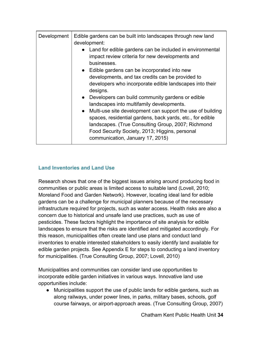| Development | Edible gardens can be built into landscapes through new land<br>development:<br>Land for edible gardens can be included in environmental<br>impact review criteria for new developments and<br>businesses.<br>• Edible gardens can be incorporated into new<br>developments, and tax credits can be provided to<br>developers who incorporate edible landscapes into their<br>designs.         |
|-------------|------------------------------------------------------------------------------------------------------------------------------------------------------------------------------------------------------------------------------------------------------------------------------------------------------------------------------------------------------------------------------------------------|
|             | Developers can build community gardens or edible<br>$\bullet$<br>landscapes into multifamily developments.<br>Multi-use site development can support the use of building<br>$\bullet$<br>spaces, residential gardens, back yards, etc., for edible<br>landscapes. (True Consulting Group, 2007; Richmond<br>Food Security Society, 2013; Higgins, personal<br>communication, January 17, 2015) |

## **Land Inventories and Land Use**

Research shows that one of the biggest issues arising around producing food in communities or public areas is limited access to suitable land (Lovell, 2010; Moreland Food and Garden Network). However, locating ideal land for edible gardens can be a challenge for municipal planners because of the necessary infrastructure required for projects, such as water access. Health risks are also a concern due to historical and unsafe land use practices, such as use of pesticides. These factors highlight the importance of site analysis for edible landscapes to ensure that the risks are identified and mitigated accordingly. For this reason, municipalities often create land use plans and conduct land inventories to enable interested stakeholders to easily identify land available for edible garden projects. See Appendix E for steps to conducting a land inventory for municipalities. (True Consulting Group, 2007; Lovell, 2010)

Municipalities and communities can consider land use opportunities to incorporate edible garden initiatives in various ways. Innovative land use opportunities include:

● Municipalities support the use of public lands for edible gardens, such as along railways, under power lines, in parks, military bases, schools, golf course fairways, or airport-approach areas. (True Consulting Group, 2007)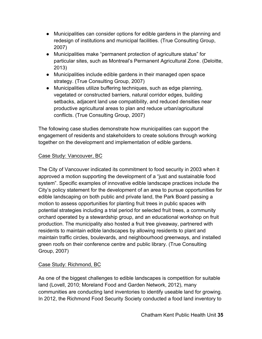- Municipalities can consider options for edible gardens in the planning and redesign of institutions and municipal facilities. (True Consulting Group, 2007)
- Municipalities make "permanent protection of agriculture status" for particular sites, such as Montreal's Permanent Agricultural Zone. (Deloitte, 2013)
- Municipalities include edible gardens in their managed open space strategy. (True Consulting Group, 2007)
- Municipalities utilize buffering techniques, such as edge planning, vegetated or constructed barriers, natural corridor edges, building setbacks, adjacent land use compatibility, and reduced densities near productive agricultural areas to plan and reduce urban/agricultural conflicts. (True Consulting Group, 2007)

The following case studies demonstrate how municipalities can support the engagement of residents and stakeholders to create solutions through working together on the development and implementation of edible gardens.

## Case Study: Vancouver, BC

The City of Vancouver indicated its commitment to food security in 2003 when it approved a motion supporting the development of a "just and sustainable food system". Specific examples of innovative edible landscape practices include the City's policy statement for the development of an area to pursue opportunities for edible landscaping on both public and private land, the Park Board passing a motion to assess opportunities for planting fruit trees in public spaces with potential strategies including a trial period for selected fruit trees, a community orchard operated by a stewardship group, and an educational workshop on fruit production. The municipality also hosted a fruit tree giveaway, partnered with residents to maintain edible landscapes by allowing residents to plant and maintain traffic circles, boulevards, and neighbourhood greenways, and installed green roofs on their conference centre and public library. (True Consulting Group, 2007)

## Case Study: Richmond, BC

As one of the biggest challenges to edible landscapes is competition for suitable land (Lovell, 2010; Moreland Food and Garden Network, 2012), many communities are conducting land inventories to identify useable land for growing. In 2012, the Richmond Food Security Society conducted a food land inventory to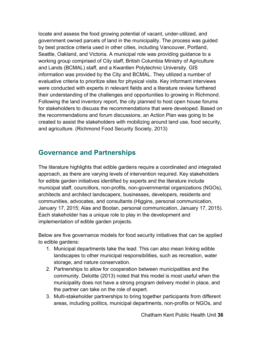locate and assess the food growing potential of vacant, under-utilized, and government owned parcels of land in the municipality. The process was guided by best practice criteria used in other cities, including Vancouver, Portland, Seattle, Oakland, and Victoria. A municipal role was providing guidance to a working group comprised of City staff, British Columbia Ministry of Agriculture and Lands (BCMAL) staff, and a Kwantlen Polytechnic University. GIS information was provided by the City and BCMAL. They utilized a number of evaluative criteria to prioritize sites for physical visits. Key informant interviews were conducted with experts in relevant fields and a literature review furthered their understanding of the challenges and opportunities to growing in Richmond. Following the land inventory report, the city planned to host open house forums for stakeholders to discuss the recommendations that were developed. Based on the recommendations and forum discussions, an Action Plan was going to be created to assist the stakeholders with mobilizing around land use, food security, and agriculture. (Richmond Food Security Society, 2013)

## **Governance and Partnerships**

The literature highlights that edible gardens require a coordinated and integrated approach, as there are varying levels of intervention required. Key stakeholders for edible garden initiatives identified by experts and the literature include municipal staff, councillors, non-profits, non-governmental organizations (NGOs), architects and architect landscapers, businesses, developers, residents and communities, advocates, and consultants (Higgins, personal communication, January 17, 2015; Alas and Bootan, personal communication, January 17, 2015). Each stakeholder has a unique role to play in the development and implementation of edible garden projects.

Below are five governance models for food security initiatives that can be applied to edible gardens:

- 1. Municipal departments take the lead. This can also mean linking edible landscapes to other municipal responsibilities, such as recreation, water storage, and nature conservation.
- 2. Partnerships to allow for cooperation between municipalities and the community. Deloitte (2013) noted that this model is most useful when the municipality does not have a strong program delivery model in place, and the partner can take on the role of expert.
- 3. Multi-stakeholder partnerships to bring together participants from different areas, including politics, municipal departments, non-profits or NGOs, and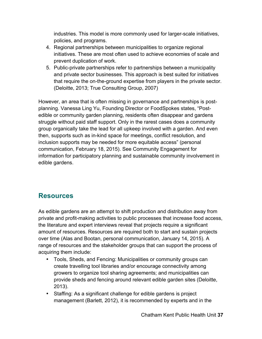industries. This model is more commonly used for larger-scale initiatives, policies, and programs.

- 4. Regional partnerships between municipalities to organize regional initiatives. These are most often used to achieve economies of scale and prevent duplication of work.
- 5. Public-private partnerships refer to partnerships between a municipality and private sector businesses. This approach is best suited for initiatives that require the on-the-ground expertise from players in the private sector. (Deloitte, 2013; True Consulting Group, 2007)

However, an area that is often missing in governance and partnerships is postplanning. Vanessa Ling Yu, Founding Director or FoodSpokes states, "Postedible or community garden planning, residents often disappear and gardens struggle without paid staff support. Only in the rarest cases does a community group organically take the lead for all upkeep involved with a garden. And even then, supports such as in-kind space for meetings, conflict resolution, and inclusion supports may be needed for more equitable access" (personal communication, February 18, 2015). See Community Engagement for information for participatory planning and sustainable community involvement in edible gardens.

## **Resources**

As edible gardens are an attempt to shift production and distribution away from private and profit-making activities to public processes that increase food access, the literature and expert interviews reveal that projects require a significant amount of resources. Resources are required both to start and sustain projects over time (Alas and Bootan, personal communication, January 14, 2015). A range of resources and the stakeholder groups that can support the process of acquiring them include:

- Tools, Sheds, and Fencing: Municipalities or community groups can create travelling tool libraries and/or encourage connectivity among growers to organize tool sharing agreements; and municipalities can provide sheds and fencing around relevant edible garden sites (Deloitte, 2013).
- Staffing: As a significant challenge for edible gardens is project management (Barlett, 2012), it is recommended by experts and in the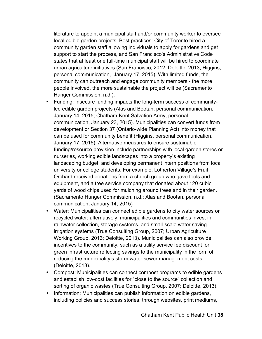literature to appoint a municipal staff and/or community worker to oversee local edible garden projects. Best practices: City of Toronto hired a community garden staff allowing individuals to apply for gardens and get support to start the process, and San Francisco's Administrative Code states that at least one full-time municipal staff will be hired to coordinate urban agriculture initiatives (San Francisco, 2012; Deloitte, 2013; Higgins, personal communication, January 17, 2015). With limited funds, the community can outreach and engage community members - the more people involved, the more sustainable the project will be (Sacramento Hunger Commission, n.d.).

- Funding: Insecure funding impacts the long-term success of communityled edible garden projects (Alas and Bootan, personal communication, January 14, 2015; Chatham-Kent Salvation Army, personal communication, January 23, 2015). Municipalities can convert funds from development or Section 37 (Ontario-wide Planning Act) into money that can be used for community benefit (Higgins, personal communication, January 17, 2015). Alternative measures to ensure sustainable funding/resource provision include partnerships with local garden stores or nurseries, working edible landscapes into a property's existing landscaping budget, and developing permanent intern positions from local university or college students. For example, Lotherton Village's Fruit Orchard received donations from a church group who gave tools and equipment, and a tree service company that donated about 120 cubic yards of wood chips used for mulching around trees and in their garden. (Sacramento Hunger Commission, n.d.; Alas and Bootan, personal communication, January 14, 2015)
- Water: Municipalities can connect edible gardens to city water sources or recycled water; alternatively, municipalities and communities invest in rainwater collection, storage systems, and small-scale water saving irrigation systems (True Consulting Group, 2007; Urban Agriculture Working Group, 2013; Deloitte, 2013). Municipalities can also provide incentives to the community, such as a utility service fee discount for green infrastructure reflecting savings to the municipality in the form of reducing the municipality's storm water sewer management costs (Deloitte, 2013).
- Compost: Municipalities can connect compost programs to edible gardens and establish low-cost facilities for "close to the source" collection and sorting of organic wastes (True Consulting Group, 2007; Deloitte, 2013).
- Information: Municipalities can publish information on edible gardens, including policies and success stories, through websites, print mediums,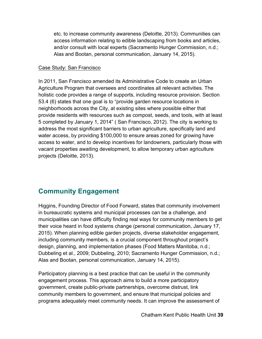etc. to increase community awareness (Deloitte, 2013). Communities can access information relating to edible landscaping from books and articles, and/or consult with local experts (Sacramento Hunger Commission, n.d.; Alas and Bootan, personal communication, January 14, 2015).

#### Case Study: San Francisco

In 2011, San Francisco amended its Administrative Code to create an Urban Agriculture Program that oversees and coordinates all relevant activities. The holistic code provides a range of supports, including resource provision. Section 53.4 (6) states that one goal is to "provide garden resource locations in neighborhoods across the City, at existing sites where possible either that provide residents with resources such as compost, seeds, and tools, with at least 5 completed by January 1, 2014" ( San Francisco, 2012). The city is working to address the most significant barriers to urban agriculture, specifically land and water access, by providing \$100,000 to ensure areas zoned for growing have access to water, and to develop incentives for landowners, particularly those with vacant properties awaiting development, to allow temporary urban agriculture projects (Deloitte, 2013).

# **Community Engagement**

Higgins, Founding Director of Food Forward, states that community involvement in bureaucratic systems and municipal processes can be a challenge, and municipalities can have difficulty finding real ways for community members to get their voice heard in food systems change (personal communication, January 17, 2015). When planning edible garden projects, diverse stakeholder engagement, including community members, is a crucial component throughout project's design, planning, and implementation phases (Food Matters Manitoba, n.d.; Dubbeling et al., 2009; Dubbeling, 2010; Sacramento Hunger Commission, n.d.; Alas and Bootan, personal communication, January 14, 2015).

Participatory planning is a best practice that can be useful in the community engagement process. This approach aims to build a more participatory government, create public-private partnerships, overcome distrust, link community members to government, and ensure that municipal policies and programs adequately meet community needs. It can improve the assessment of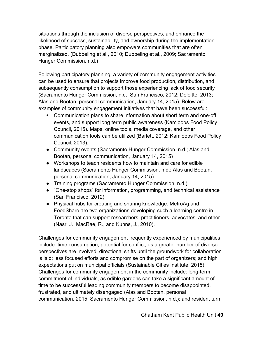situations through the inclusion of diverse perspectives, and enhance the likelihood of success, sustainability, and ownership during the implementation phase. Participatory planning also empowers communities that are often marginalized. (Dubbeling et al., 2010; Dubbeling et al., 2009; Sacramento Hunger Commission, n.d.)

Following participatory planning, a variety of community engagement activities can be used to ensure that projects improve food production, distribution, and subsequently consumption to support those experiencing lack of food security (Sacramento Hunger Commission, n.d.; San Francisco, 2012; Deloitte, 2013; Alas and Bootan, personal communication, January 14, 2015). Below are examples of community engagement initiatives that have been successful:

- Communication plans to share information about short term and one-off events, and support long term public awareness (Kamloops Food Policy Council, 2015). Maps, online tools, media coverage, and other communication tools can be utilized (Barlett, 2012; Kamloops Food Policy Council, 2013).
- Community events (Sacramento Hunger Commission, n.d.; Alas and Bootan, personal communication, January 14, 2015)
- Workshops to teach residents how to maintain and care for edible landscapes (Sacramento Hunger Commission, n.d.; Alas and Bootan, personal communication, January 14, 2015)
- Training programs (Sacramento Hunger Commission, n.d.)
- "One-stop shops" for information, programming, and technical assistance (San Francisco, 2012)
- Physical hubs for creating and sharing knowledge. MetroAg and FoodShare are two organizations developing such a learning centre in Toronto that can support researchers, practitioners, advocates, and other (Nasr, J., MacRae, R., and Kuhns, J., 2010).

Challenges for community engagement frequently experienced by municipalities include: time consumption; potential for conflict, as a greater number of diverse perspectives are involved; directional shifts until the groundwork for collaboration is laid; less focused efforts and compromise on the part of organizers; and high expectations put on municipal officials (Sustainable Cities Institute, 2015). Challenges for community engagement in the community include: long-term commitment of individuals, as edible gardens can take a significant amount of time to be successful leading community members to become disappointed, frustrated, and ultimately disengaged (Alas and Bootan, personal communication, 2015; Sacramento Hunger Commission, n.d.); and resident turn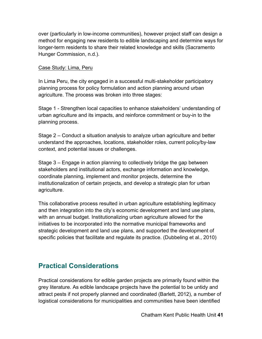over (particularly in low-income communities), however project staff can design a method for engaging new residents to edible landscaping and determine ways for longer-term residents to share their related knowledge and skills (Sacramento Hunger Commission, n.d.).

#### Case Study: Lima, Peru

In Lima Peru, the city engaged in a successful multi-stakeholder participatory planning process for policy formulation and action planning around urban agriculture. The process was broken into three stages:

Stage 1 - Strengthen local capacities to enhance stakeholders' understanding of urban agriculture and its impacts, and reinforce commitment or buy-in to the planning process.

Stage 2 – Conduct a situation analysis to analyze urban agriculture and better understand the approaches, locations, stakeholder roles, current policy/by-law context, and potential issues or challenges.

Stage 3 – Engage in action planning to collectively bridge the gap between stakeholders and institutional actors, exchange information and knowledge, coordinate planning, implement and monitor projects, determine the institutionalization of certain projects, and develop a strategic plan for urban agriculture.

This collaborative process resulted in urban agriculture establishing legitimacy and then integration into the city's economic development and land use plans, with an annual budget. Institutionalizing urban agriculture allowed for the initiatives to be incorporated into the normative municipal frameworks and strategic development and land use plans, and supported the development of specific policies that facilitate and regulate its practice. (Dubbeling et al., 2010)

## **Practical Considerations**

Practical considerations for edible garden projects are primarily found within the grey literature. As edible landscape projects have the potential to be untidy and attract pests if not properly planned and coordinated (Barlett, 2012), a number of logistical considerations for municipalities and communities have been identified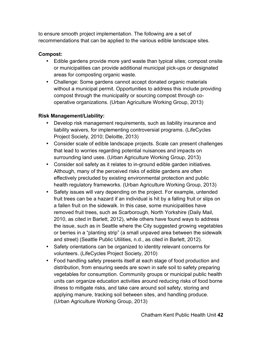to ensure smooth project implementation. The following are a set of recommendations that can be applied to the various edible landscape sites.

## **Compost:**

- Edible gardens provide more yard waste than typical sites; compost onsite or municipalities can provide additional municipal pick-ups or designated areas for composting organic waste.
- Challenge: Some gardens cannot accept donated organic materials without a municipal permit. Opportunities to address this include providing compost through the municipality or sourcing compost through cooperative organizations. (Urban Agriculture Working Group, 2013)

## **Risk Management/Liability:**

- Develop risk management requirements, such as liability insurance and liability waivers, for implementing controversial programs. (LifeCycles Project Society, 2010; Deloitte, 2013)
- Consider scale of edible landscape projects. Scale can present challenges that lead to worries regarding potential nuisances and impacts on surrounding land uses. (Urban Agriculture Working Group, 2013)
- Consider soil safety as it relates to in-ground edible garden initiatives. Although, many of the perceived risks of edible gardens are often effectively precluded by existing environmental protection and public health regulatory frameworks. (Urban Agriculture Working Group, 2013)
- Safety issues will vary depending on the project. For example, untended fruit trees can be a hazard if an individual is hit by a falling fruit or slips on a fallen fruit on the sidewalk. In this case, some municipalities have removed fruit trees, such as Scarborough, North Yorkshire (Daily Mail, 2010, as cited in Barlett, 2012), while others have found ways to address the issue, such as in Seattle where the City suggested growing vegetables or berries in a "planting strip" (a small unpaved area between the sidewalk and street) (Seattle Public Utilities, n.d., as cited in Barlett, 2012).
- Safety orientations can be organized to identity relevant concerns for volunteers. (LifeCycles Project Society, 2010)
- Food handling safety presents itself at each stage of food production and distribution, from ensuring seeds are sown in safe soil to safety preparing vegetables for consumption. Community groups or municipal public health units can organize education activities around reducing risks of food borne illness to mitigate risks, and take care around soil safety, storing and applying manure, tracking soil between sites, and handling produce. (Urban Agriculture Working Group, 2013)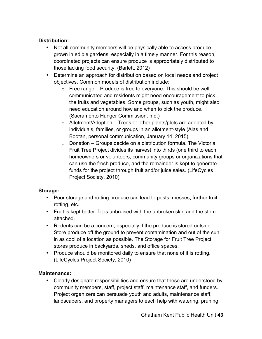### **Distribution:**

- Not all community members will be physically able to access produce grown in edible gardens, especially in a timely manner. For this reason, coordinated projects can ensure produce is appropriately distributed to those lacking food security. (Barlett, 2012)
- Determine an approach for distribution based on local needs and project objectives. Common models of distribution include:
	- $\circ$  Free range Produce is free to everyone. This should be well communicated and residents might need encouragement to pick the fruits and vegetables. Some groups, such as youth, might also need education around how and when to pick the produce. (Sacramento Hunger Commission, n.d.)
	- $\circ$  Allotment/Adoption Trees or other plants/plots are adopted by individuals, families, or groups in an allotment-style (Alas and Bootan, personal communication, January 14, 2015)
	- $\circ$  Donation Groups decide on a distribution formula. The Victoria Fruit Tree Project divides its harvest into thirds (one third to each homeowners or volunteers, community groups or organizations that can use the fresh produce, and the remainder is kept to generate funds for the project through fruit and/or juice sales. (LifeCycles Project Society, 2010)

#### **Storage:**

- Poor storage and rotting produce can lead to pests, messes, further fruit rotting, etc.
- Fruit is kept better if it is unbruised with the unbroken skin and the stem attached.
- Rodents can be a concern, especially if the produce is stored outside. Store produce off the ground to prevent contamination and out of the sun in as cool of a location as possible. The Storage for Fruit Tree Project stores produce in backyards, sheds, and office spaces.
- Produce should be monitored daily to ensure that none of it is rotting. (LifeCycles Project Society, 2010)

#### **Maintenance:**

• Clearly designate responsibilities and ensure that these are understood by community members, staff, project staff, maintenance staff, and funders. Project organizers can persuade youth and adults, maintenance staff, landscapers, and property managers to each help with watering, pruning,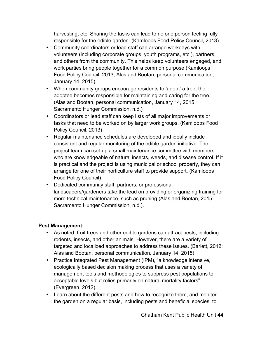harvesting, etc. Sharing the tasks can lead to no one person feeling fully responsible for the edible garden. (Kamloops Food Policy Council, 2013)

- Community coordinators or lead staff can arrange workdays with volunteers (including corporate groups, youth programs, etc.), partners, and others from the community. This helps keep volunteers engaged, and work parties bring people together for a common purpose (Kamloops Food Policy Council, 2013; Alas and Bootan, personal communication, January 14, 2015).
- When community groups encourage residents to 'adopt' a tree, the adoptee becomes responsible for maintaining and caring for the tree. (Alas and Bootan, personal communication, January 14, 2015; Sacramento Hunger Commission, n.d.)
- Coordinators or lead staff can keep lists of all major improvements or tasks that need to be worked on by larger work groups. (Kamloops Food Policy Council, 2013)
- Regular maintenance schedules are developed and ideally include consistent and regular monitoring of the edible garden initiative. The project team can set-up a small maintenance committee with members who are knowledgeable of natural insects, weeds, and disease control. If it is practical and the project is using municipal or school property, they can arrange for one of their horticulture staff to provide support. (Kamloops Food Policy Council)
- Dedicated community staff, partners, or professional landscapers/gardeners take the lead on providing or organizing training for more technical maintenance, such as pruning (Alas and Bootan, 2015; Sacramento Hunger Commission, n.d.).

#### **Pest Management:**

- As noted, fruit trees and other edible gardens can attract pests, including rodents, insects, and other animals. However, there are a variety of targeted and localized approaches to address these issues. (Barlett, 2012; Alas and Bootan, personal communication, January 14, 2015)
- Practice Integrated Pest Management (IPM), "a knowledge intensive, ecologically based decision making process that uses a variety of management tools and methodologies to suppress pest populations to acceptable levels but relies primarily on natural mortality factors" (Evergreen, 2012).
- Learn about the different pests and how to recognize them, and monitor the garden on a regular basis, including pests and beneficial species, to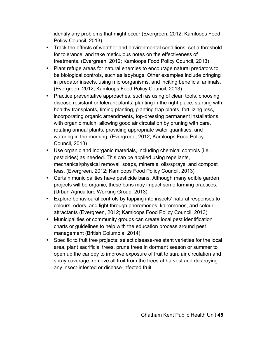identify any problems that might occur (Evergreen, 2012; Kamloops Food Policy Council, 2013).

- Track the effects of weather and environmental conditions, set a threshold for tolerance, and take meticulous notes on the effectiveness of treatments. (Evergreen, 2012; Kamloops Food Policy Council, 2013)
- Plant refuge areas for natural enemies to encourage natural predators to be biological controls, such as ladybugs. Other examples include bringing in predator insects, using microorganisms, and inciting beneficial animals. (Evergreen, 2012; Kamloops Food Policy Council, 2013)
- Practice preventative approaches, such as using of clean tools, choosing disease resistant or tolerant plants, planting in the right place, starting with healthy transplants, timing planting, planting trap plants, fertilizing less, incorporating organic amendments, top-dressing permanent installations with organic mulch, allowing good air circulation by pruning with care, rotating annual plants, providing appropriate water quantities, and watering in the morning. (Evergreen, 2012; Kamloops Food Policy Council, 2013)
- Use organic and inorganic materials, including chemical controls (i.e. pesticides) as needed. This can be applied using repellants, mechanical/physical removal, soaps, minerals, oils/sprays, and compost teas. (Evergreen, 2012; Kamloops Food Policy Council, 2013)
- Certain municipalities have pesticide bans. Although many edible garden projects will be organic, these bans may impact some farming practices. (Urban Agriculture Working Group, 2013)
- Explore behavioural controls by tapping into insects' natural responses to colours, odors, and light through pheromones, kairomones, and colour attractants (Evergreen, 2012; Kamloops Food Policy Council, 2013).
- Municipalities or community groups can create local pest identification charts or guidelines to help with the education process around pest management (British Columbia, 2014).
- Specific to fruit tree projects: select disease-resistant varieties for the local area, plant sacrificial trees, prune trees in dormant season or summer to open up the canopy to improve exposure of fruit to sun, air circulation and spray coverage, remove all fruit from the trees at harvest and destroying any insect-infested or disease-infected fruit.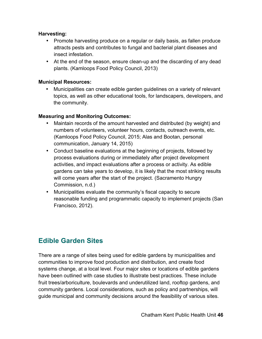#### **Harvesting:**

- Promote harvesting produce on a regular or daily basis, as fallen produce attracts pests and contributes to fungal and bacterial plant diseases and insect infestation.
- At the end of the season, ensure clean-up and the discarding of any dead plants. (Kamloops Food Policy Council, 2013)

#### **Municipal Resources:**

• Municipalities can create edible garden guidelines on a variety of relevant topics, as well as other educational tools, for landscapers, developers, and the community.

#### **Measuring and Monitoring Outcomes:**

- Maintain records of the amount harvested and distributed (by weight) and numbers of volunteers, volunteer hours, contacts, outreach events, etc. (Kamloops Food Policy Council, 2015; Alas and Bootan, personal communication, January 14, 2015)
- Conduct baseline evaluations at the beginning of projects, followed by process evaluations during or immediately after project development activities, and impact evaluations after a process or activity. As edible gardens can take years to develop, it is likely that the most striking results will come years after the start of the project. (Sacramento Hungry Commission, n.d.)
- Municipalities evaluate the community's fiscal capacity to secure reasonable funding and programmatic capacity to implement projects (San Francisco, 2012).

## **Edible Garden Sites**

There are a range of sites being used for edible gardens by municipalities and communities to improve food production and distribution, and create food systems change, at a local level. Four major sites or locations of edible gardens have been outlined with case studies to illustrate best practices. These include fruit trees/arboriculture, boulevards and underutilized land, rooftop gardens, and community gardens. Local considerations, such as policy and partnerships, will guide municipal and community decisions around the feasibility of various sites.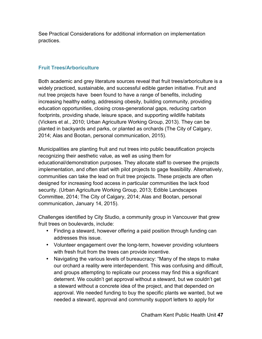See Practical Considerations for additional information on implementation practices.

### **Fruit Trees/Arboriculture**

Both academic and grey literature sources reveal that fruit trees/arboriculture is a widely practiced, sustainable, and successful edible garden initiative. Fruit and nut tree projects have been found to have a range of benefits, including increasing healthy eating, addressing obesity, building community, providing education opportunities, closing cross-generational gaps, reducing carbon footprints, providing shade, leisure space, and supporting wildlife habitats (Vickers et al., 2010; Urban Agriculture Working Group, 2013). They can be planted in backyards and parks, or planted as orchards (The City of Calgary, 2014; Alas and Bootan, personal communication, 2015).

Municipalities are planting fruit and nut trees into public beautification projects recognizing their aesthetic value, as well as using them for educational/demonstration purposes. They allocate staff to oversee the projects implementation, and often start with pilot projects to gage feasibility. Alternatively, communities can take the lead on fruit tree projects. These projects are often designed for increasing food access in particular communities the lack food security. (Urban Agriculture Working Group, 2013; Edible Landscapes Committee, 2014; The City of Calgary, 2014; Alas and Bootan, personal communication, January 14, 2015).

Challenges identified by City Studio, a community group in Vancouver that grew fruit trees on boulevards, include:

- Finding a steward, however offering a paid position through funding can addresses this issue.
- Volunteer engagement over the long-term, however providing volunteers with fresh fruit from the trees can provide incentive.
- Navigating the various levels of bureaucracy: "Many of the steps to make our orchard a reality were interdependent. This was confusing and difficult, and groups attempting to replicate our process may find this a significant deterrent. We couldn't get approval without a steward, but we couldn't get a steward without a concrete idea of the project, and that depended on approval. We needed funding to buy the specific plants we wanted, but we needed a steward, approval and community support letters to apply for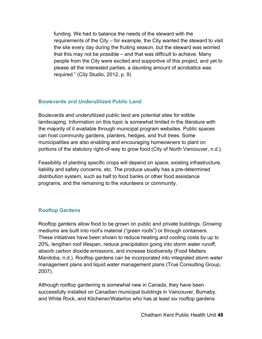funding. We had to balance the needs of the steward with the requirements of the City – for example, the City wanted the steward to visit the site every day during the fruiting season, but the steward was worried that this may not be possible – and that was difficult to achieve. Many people from the City were excited and supportive of this project, and yet to please all the interested parties, a daunting amount of acrobatics was required." (City Studio, 2012, p. 9)

#### **Boulevards and Underutilized Public Land**

Boulevards and underutilized public land are potential sites for edible landscaping. Information on this topic is somewhat limited in the literature with the majority of it available through municipal program websites. Public spaces can host community gardens, planters, hedges, and fruit trees. Some municipalities are also enabling and encouraging homeowners to plant on portions of the statutory right-of-way to grow food (City of North Vancouver, n.d.).

Feasibility of planting specific crops will depend on space, existing infrastructure, liability and safety concerns, etc. The produce usually has a pre-determined distribution system, such as half to food banks or other food assistance programs, and the remaining to the volunteers or community.

## **Rooftop Gardens**

Rooftop gardens allow food to be grown on public and private buildings. Growing mediums are built into roof's material ("green roofs") or through containers. These initiatives have been shown to reduce heating and cooling costs by up to 20%, lengthen roof lifespan, reduce precipitation going into storm water runoff, absorb carbon dioxide emissions, and increase biodiversity (Food Matters Manitoba, n.d.). Rooftop gardens can be incorporated into integrated storm water management plans and liquid water management plans (True Consulting Group, 2007).

Although rooftop gardening is somewhat new in Canada, they have been successfully installed on Canadian municipal buildings in Vancouver, Burnaby, and White Rock, and Kitchener/Waterloo who has at least six rooftop gardens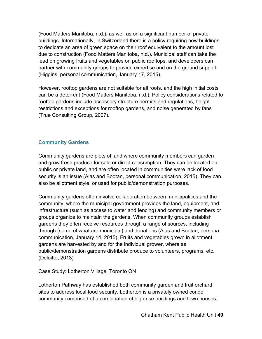(Food Matters Manitoba, n.d.), as well as on a significant number of private buildings. Internationally, in Switzerland there is a policy requiring new buildings to dedicate an area of green space on their roof equivalent to the amount lost due to construction (Food Matters Manitoba, n.d.). Municipal staff can take the lead on growing fruits and vegetables on public rooftops, and developers can partner with community groups to provide expertise and on the ground support (Higgins, personal communication, January 17, 2015).

However, rooftop gardens are not suitable for all roofs, and the high initial costs can be a deterrent (Food Matters Manitoba, n.d.). Policy considerations related to rooftop gardens include accessory structure permits and regulations, height restrictions and exceptions for rooftop gardens, and noise generated by fans (True Consulting Group, 2007).

## **Community Gardens**

Community gardens are plots of land where community members can garden and grow fresh produce for sale or direct consumption. They can be located on public or private land, and are often located in communities were lack of food security is an issue (Alas and Bootan, personal communication, 2015). They can also be allotment style, or used for public/demonstration purposes.

Community gardens often involve collaboration between municipalities and the community, where the municipal government provides the land, equipment, and infrastructure (such as access to water and fencing) and community members or groups organize to maintain the gardens. When community groups establish gardens they often receive resources through a range of sources, including through (some of what are municipal) and donations (Alas and Bootan, persona communication, January 14, 2015). Fruits and vegetables grown in allotment gardens are harvested by and for the individual grower, where as public/demonstration gardens distribute produce to volunteers, programs, etc. (Deloitte, 2013)

## Case Study: Lotherton Village, Toronto ON

Lotherton Pathway has established both community garden and fruit orchard sites to address local food security. Lotherton is a privately owned condo community comprised of a combination of high rise buildings and town houses.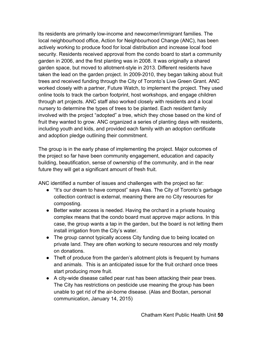Its residents are primarily low-income and newcomer/immigrant families. The local neighbourhood office, Action for Neighbourhood Change (ANC), has been actively working to produce food for local distribution and increase local food security. Residents received approval from the condo board to start a community garden in 2006, and the first planting was in 2008. It was originally a shared garden space, but moved to allotment-style in 2013. Different residents have taken the lead on the garden project. In 2009-2010, they began talking about fruit trees and received funding through the City of Toronto's Live Green Grant. ANC worked closely with a partner, Future Watch, to implement the project. They used online tools to track the carbon footprint, host workshops, and engage children through art projects. ANC staff also worked closely with residents and a local nursery to determine the types of trees to be planted. Each resident family involved with the project "adopted" a tree, which they chose based on the kind of fruit they wanted to grow. ANC organized a series of planting days with residents, including youth and kids, and provided each family with an adoption certificate and adoption pledge outlining their commitment.

The group is in the early phase of implementing the project. Major outcomes of the project so far have been community engagement, education and capacity building, beautification, sense of ownership of the community, and in the near future they will get a significant amount of fresh fruit.

ANC identified a number of issues and challenges with the project so far:

- "It's our dream to have compost" says Alas. The City of Toronto's garbage collection contract is external, meaning there are no City resources for composting.
- Better water access is needed. Having the orchard in a private housing complex means that the condo board must approve major actions. In this case, the group wants a tap in the garden, but the board is not letting them install irrigation from the City's water.
- The group cannot typically access City funding due to being located on private land. They are often working to secure resources and rely mostly on donations.
- Theft of produce from the garden's allotment plots is frequent by humans and animals. This is an anticipated issue for the fruit orchard once trees start producing more fruit.
- A city-wide disease called pear rust has been attacking their pear trees. The City has restrictions on pesticide use meaning the group has been unable to get rid of the air-borne disease. (Alas and Bootan, personal communication, January 14, 2015)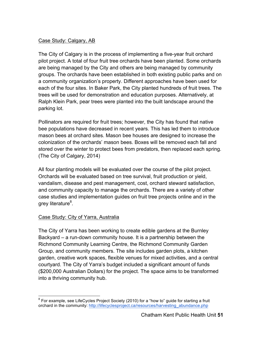## Case Study: Calgary, AB

The City of Calgary is in the process of implementing a five-year fruit orchard pilot project. A total of four fruit tree orchards have been planted. Some orchards are being managed by the City and others are being managed by community groups. The orchards have been established in both existing public parks and on a community organization's property. Different approaches have been used for each of the four sites. In Baker Park, the City planted hundreds of fruit trees. The trees will be used for demonstration and education purposes. Alternatively, at Ralph Klein Park, pear trees were planted into the built landscape around the parking lot.

Pollinators are required for fruit trees; however, the City has found that native bee populations have decreased in recent years. This has led them to introduce mason bees at orchard sites. Mason bee houses are designed to increase the colonization of the orchards' mason bees. Boxes will be removed each fall and stored over the winter to protect bees from predators, then replaced each spring. (The City of Calgary, 2014)

All four planting models will be evaluated over the course of the pilot project. Orchards will be evaluated based on tree survival, fruit production or yield, vandalism, disease and pest management, cost, orchard steward satisfaction, and community capacity to manage the orchards. There are a variety of other case studies and implementation guides on fruit tree projects online and in the grey literature<sup>8</sup>.

#### Case Study: City of Yarra, Australia

The City of Yarra has been working to create edible gardens at the Burnley Backyard – a run-down community house. It is a partnership between the Richmond Community Learning Centre, the Richmond Community Garden Group, and community members. The site includes garden plots, a kitchen garden, creative work spaces, flexible venues for mixed activities, and a central courtyard. The City of Yarra's budget included a significant amount of funds (\$200,000 Australian Dollars) for the project. The space aims to be transformed into a thriving community hub.

 $8$  For example, see LifeCycles Project Society (2010) for a "how to" guide for starting a fruit orchard in the community: http://lifecyclesproject.ca/resources/harvesting\_abundance.php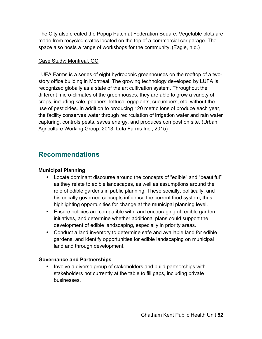The City also created the Popup Patch at Federation Square. Vegetable plots are made from recycled crates located on the top of a commercial car garage. The space also hosts a range of workshops for the community. (Eagle, n.d.)

#### Case Study: Montreal, QC

LUFA Farms is a series of eight hydroponic greenhouses on the rooftop of a twostory office building in Montreal. The growing technology developed by LUFA is recognized globally as a state of the art cultivation system. Throughout the different micro-climates of the greenhouses, they are able to grow a variety of crops, including kale, peppers, lettuce, eggplants, cucumbers, etc. without the use of pesticides. In addition to producing 120 metric tons of produce each year, the facility conserves water through recirculation of irrigation water and rain water capturing, controls pests, saves energy, and produces compost on site. (Urban Agriculture Working Group, 2013; Lufa Farms Inc., 2015)

# **Recommendations**

### **Municipal Planning**

- Locate dominant discourse around the concepts of "edible" and "beautiful" as they relate to edible landscapes, as well as assumptions around the role of edible gardens in public planning. These socially, politically, and historically governed concepts influence the current food system, thus highlighting opportunities for change at the municipal planning level.
- Ensure policies are compatible with, and encouraging of, edible garden initiatives, and determine whether additional plans could support the development of edible landscaping, especially in priority areas.
- Conduct a land inventory to determine safe and available land for edible gardens, and identify opportunities for edible landscaping on municipal land and through development.

#### **Governance and Partnerships**

• Involve a diverse group of stakeholders and build partnerships with stakeholders not currently at the table to fill gaps, including private businesses.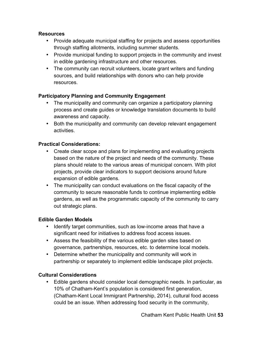#### **Resources**

- Provide adequate municipal staffing for projects and assess opportunities through staffing allotments, including summer students.
- Provide municipal funding to support projects in the community and invest in edible gardening infrastructure and other resources.
- The community can recruit volunteers, locate grant writers and funding sources, and build relationships with donors who can help provide resources.

#### **Participatory Planning and Community Engagement**

- The municipality and community can organize a participatory planning process and create guides or knowledge translation documents to build awareness and capacity.
- Both the municipality and community can develop relevant engagement activities.

#### **Practical Considerations:**

- Create clear scope and plans for implementing and evaluating projects based on the nature of the project and needs of the community. These plans should relate to the various areas of municipal concern. With pilot projects, provide clear indicators to support decisions around future expansion of edible gardens.
- The municipality can conduct evaluations on the fiscal capacity of the community to secure reasonable funds to continue implementing edible gardens, as well as the programmatic capacity of the community to carry out strategic plans.

#### **Edible Garden Models**

- Identify target communities, such as low-income areas that have a significant need for initiatives to address food access issues.
- Assess the feasibility of the various edible garden sites based on governance, partnerships, resources, etc. to determine local models.
- Determine whether the municipality and community will work in partnership or separately to implement edible landscape pilot projects.

#### **Cultural Considerations**

• Edible gardens should consider local demographic needs. In particular, as 10% of Chatham-Kent's population is considered first generation, (Chatham-Kent Local Immigrant Partnership, 2014), cultural food access could be an issue. When addressing food security in the community,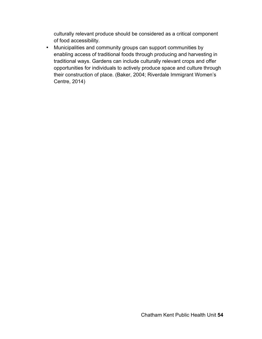culturally relevant produce should be considered as a critical component of food accessibility.

• Municipalities and community groups can support communities by enabling access of traditional foods through producing and harvesting in traditional ways. Gardens can include culturally relevant crops and offer opportunities for individuals to actively produce space and culture through their construction of place. (Baker, 2004; Riverdale Immigrant Women's Centre, 2014)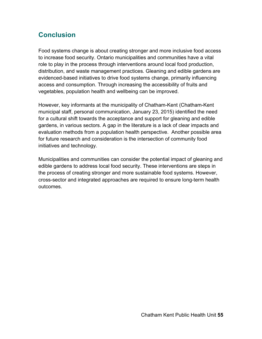# **Conclusion**

Food systems change is about creating stronger and more inclusive food access to increase food security. Ontario municipalities and communities have a vital role to play in the process through interventions around local food production, distribution, and waste management practices*.* Gleaning and edible gardens are evidenced-based initiatives to drive food systems change, primarily influencing access and consumption. Through increasing the accessibility of fruits and vegetables, population health and wellbeing can be improved.

However, key informants at the municipality of Chatham-Kent (Chatham-Kent municipal staff, personal communication, January 23, 2015) identified the need for a cultural shift towards the acceptance and support for gleaning and edible gardens, in various sectors. A gap in the literature is a lack of clear impacts and evaluation methods from a population health perspective. Another possible area for future research and consideration is the intersection of community food initiatives and technology.

Municipalities and communities can consider the potential impact of gleaning and edible gardens to address local food security. These interventions are steps in the process of creating stronger and more sustainable food systems. However, cross-sector and integrated approaches are required to ensure long-term health outcomes.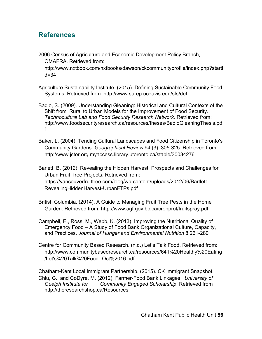## **References**

2006 Census of Agriculture and Economic Development Policy Branch, OMAFRA. Retrieved from:

http://www.nxtbook.com/nxtbooks/dawson/ckcommunityprofile/index.php?starti d=34

Agriculture Sustainability Institute. (2015). Defining Sustainable Community Food Systems. Retrieved from: http://www.sarep.ucdavis.edu/sfs/def

Badio, S. (2009). Understanding Gleaning: Historical and Cultural Contexts of the Shift from Rural to Urban Models for the Improvement of Food Security. *Technoculture Lab and Food Security Research Network.* Retrieved from: http://www.foodsecurityresearch.ca/resources/theses/BadioGleaningThesis.pd f

Baker, L. (2004). Tending Cultural Landscapes and Food Citizenship in Toronto's Community Gardens. *Geographical Review* 94 (3): 305-325. Retrieved from: http://www.jstor.org.myaccess.library.utoronto.ca/stable/30034276

Barlett, B. (2012). Revealing the Hidden Harvest: Prospects and Challenges for Urban Fruit Tree Projects. Retrieved from: https://vancouverfruittree.com/blog/wp-content/uploads/2012/06/Bartlett-RevealingHiddenHarvest-UrbanFTPs.pdf

- British Columbia. (2014). A Guide to Managing Fruit Tree Pests in the Home Garden. Retrieved from: http://www.agf.gov.bc.ca/cropprot/fruitspray.pdf
- Campbell, E., Ross, M., Webb, K. (2013). Improving the Nutritional Quality of Emergency Food – A Study of Food Bank Organizational Culture, Capacity, and Practices. *Journal of Hunger and Environmental Nutrition* 8:261-280
- Centre for Community Based Research. (n.d.) Let's Talk Food. Retrieved from: http://www.communitybasedresearch.ca/resources/641%20Healthy%20Eating /Let's%20Talk%20Food--Oct%2016.pdf

Chatham-Kent Local Immigrant Partnership. (2015). CK Immigrant Snapshot. Chiu, G., and CoDyre, M. (2012). Farmer-Food Bank Linkages. *University of Guelph Institute for Community Engaged Scholarship*. Retrieved from http://theresearchshop.ca/Resources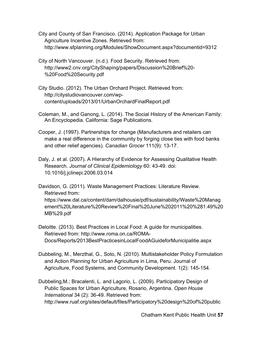City and County of San Francisco. (2014). Application Package for Urban Agriculture Incentive Zones. Retrieved from: http://www.sfplanning.org/Modules/ShowDocument.aspx?documentid=9312

City of North Vancouver. (n.d.). Food Security. Retrieved from: http://www2.cnv.org/CityShaping/papers/Discussion%20Brief%20- %20Food%20Security.pdf

City Studio. (2012). The Urban Orchard Project. Retrieved from: http://citystudiovancouver.com/wpcontent/uploads/2013/01/UrbanOrchardFinalReport.pdf

Coleman, M., and Ganong, L. (2014). The Social History of the American Family: An Encyclopedia. California: Sage Publications.

Cooper, J. (1997). Partnerships for change (Manufacturers and retailers can make a real difference in the community by forging close ties with food banks and other relief agencies). *Canadian Grocer* 111(9): 13-17.

Daly, J. et al. (2007). A Hierarchy of Evidence for Assessing Qualitative Health Research. *Journal of Clinical Epidemiology* 60: 43-49. doi: 10.1016/j.jclinepi.2006.03.014

Davidson, G. (2011). Waste Management Practices: Literature Review. Retrieved from:

https://www.dal.ca/content/dam/dalhousie/pdf/sustainability/Waste%20Manag ement%20Literature%20Review%20Final%20June%202011%20%281.49%20 MB%29.pdf

Deloitte. (2013). Best Practices in Local Food: A guide for municipalities. Retrieved from: http://www.roma.on.ca/ROMA-Docs/Reports/2013BestPracticesinLocalFoodAGuideforMunicipalitie.aspx

Dubbeling, M., Merzthal, G., Soto, N. (2010). Multistakeholder Policy Formulation and Action Planning for Urban Agriculture in Lima, Peru. Journal of Agriculture, Food Systems, and Community Development. 1(2): 145-154.

Dubbeling,M.; Bracalenti, L. and Lagorio, L. (2009). Participatory Design of Public Spaces for Urban Agriculture, Rosario, Argentina. *Open House International* 34 (2): 36-49. Retrieved from: http://www.ruaf.org/sites/default/files/Participatory%20design%20of%20public

Chatham Kent Public Health Unit **57**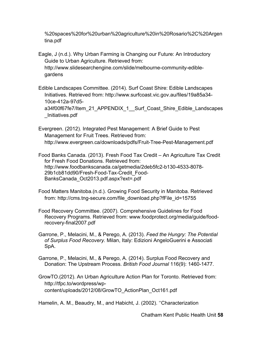%20spaces%20for%20urban%20agriculture%20in%20Rosario%2C%20Argen tina.pdf

Eagle, J (n.d.). Why Urban Farming is Changing our Future: An Introductory Guide to Urban Agriculture. Retrieved from: http://www.slidesearchengine.com/slide/melbourne-community-ediblegardens

Edible Landscapes Committee. (2014). Surf Coast Shire: Edible Landscapes Initiatives. Retrieved from: http://www.surfcoast.vic.gov.au/files/19a85a34- 10ce-412a-97d5-

a34f00f67fe7/Item\_21\_APPENDIX\_1\_Surf\_Coast\_Shire\_Edible\_Landscapes \_Initiatives.pdf

Evergreen. (2012). Integrated Pest Management: A Brief Guide to Pest Management for Fruit Trees. Retrieved from: http://www.evergreen.ca/downloads/pdfs/Fruit-Tree-Pest-Management.pdf

Food Banks Canada. (2013). Fresh Food Tax Credit – An Agriculture Tax Credit for Fresh Food Donations. Retrieved from: http://www.foodbankscanada.ca/getmedia/2deb5fc2-b130-4533-8078- 29b1cb81dd90/Fresh-Food-Tax-Credit\_Food-BanksCanada\_Oct2013.pdf.aspx?ext=.pdf

Food Matters Manitoba.(n.d.). Growing Food Security in Manitoba. Retrieved from: http://cms.tng-secure.com/file\_download.php?fFile\_id=15755

Food Recovery Committee. (2007). Comprehensive Guidelines for Food Recovery Programs. Retrieved from: www.foodprotect.org/media/guide/foodrecovery-final2007.pdf

Garrone, P., Melacini, M., & Perego, A. (2013). *Feed the Hungry: The Potential of Surplus Food Recovery.* Milan, Italy: Edizioni AngeloGuerini e Associati SpA.

Garrone, P., Melacini, M., & Perego, A. (2014). Surplus Food Recovery and Donation: The Upstream Process. *British Food Journal* 116(9): 1460-1477.

GrowTO.(2012). An Urban Agriculture Action Plan for Toronto. Retrieved from: http://tfpc.to/wordpress/wpcontent/uploads/2012/08/GrowTO\_ActionPlan\_Oct161.pdf

Hamelin, A. M., Beaudry, M., and Habicht, J. (2002). ''Characterization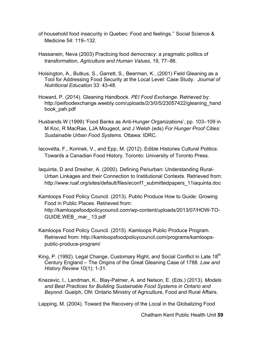- of household food insecurity in Quebec: Food and feelings.'' Social Science & Medicine 54: 119–132.
- Hassanein, Neva (2003) Practicing food democracy: a pragmatic politics of transformation, *Agriculture and Human Values*, 19, 77–86.
- Hoisington, A., Butkus, S., Garrett, S., Beerman, K., (2001) Field Gleaning as a Tool for Addressing Food Security at the Local Level: Case Study. *Journal of Nutritional Education* 33: 43-48.
- Howard, P. (2014). Gleaning Handbook. *PEI Food Exchange*. Retrieved by: http://peifoodexchange.weebly.com/uploads/2/3/0/5/23057422/gleaning\_hand book\_pah.pdf
- Husbands W (1999) 'Food Banks as Anti-Hunger Organizations', pp. 103–109 in M Koc, R MacRae, LJA Mougeot, and J Welsh (eds) *For Hunger Proof Cities: Sustainable Urban Food Systems*. Ottawa: IDRC.
- Iacovetta, F., Korinek, V., and Epp, M. (2012). Edible Histories Cultural Politics: Towards a Canadian Food History. Toronto: University of Toronto Press.
- Iaquinta, D and Dresher, A. (2000). Defining Periurban: Understanding Rural-Urban Linkages and their Connection to Institutional Contexts. Retrieved from: http://www.ruaf.org/sites/default/files/econf1\_submittedpapers\_11iaquinta.doc
- Kamloops Food Policy Council. (2013). Public Produce How to Guide: Growing Food in Public Places. Retrieved from: http://kamloopsfoodpolicycouncil.com/wp-content/uploads/2013/07/HOW-TO-GUIDE.WEB\_.mar\_.13.pdf
- Kamloops Food Policy Council. (2015). Kamloops Public Produce Program. Retrieved from: http://kamloopsfoodpolicycouncil.com/programs/kamloopspublic-produce-program/
- King, P. (1992). Legal Change, Customary Right, and Social Conflict in Late 18<sup>th</sup> Century England – The Origins of the Great Gleaning Case of 1788. *Law and History Review* 10(1): 1-31.
- Knezevic, I., Landman, K., Blay-Palmer, A. and Nelson, E. (Eds.) (2013). *Models and Best Practices for Building Sustainable Food Systems in Ontario and Beyond.* Guelph, ON: Ontario Ministry of Agriculture, Food and Rural Affairs.

Lapping, M. (2004). Toward the Recovery of the Local in the Globalizing Food

Chatham Kent Public Health Unit **59**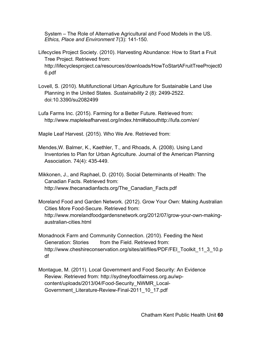System – The Role of Alternative Agricultural and Food Models in the US. *Ethics, Place and Environment* 7(3): 141-150.

- Lifecycles Project Society. (2010). Harvesting Abundance: How to Start a Fruit Tree Project. Retrieved from: http://lifecyclesproject.ca/resources/downloads/HowToStartAFruitTreeProject0 6.pdf
- Lovell, S. (2010). Multifunctional Urban Agriculture for Sustainable Land Use Planning in the United States. *Sustainability* 2 (8): 2499-2522. doi:10.3390/su2082499
- Lufa Farms Inc. (2015). Farming for a Better Future. Retrieved from: http://www.mapleleafharvest.org/index.html#abouthttp://lufa.com/en/

Maple Leaf Harvest. (2015). Who We Are. Retrieved from:

Mendes,W. Balmer, K., Kaethler, T., and Rhoads, A. (2008). Using Land Inventories to Plan for Urban Agriculture. Journal of the American Planning Association. 74(4): 435-449.

Mikkonen, J., and Raphael, D. (2010). Social Determinants of Health: The Canadian Facts. Retrieved from: http://www.thecanadianfacts.org/The\_Canadian\_Facts.pdf

Moreland Food and Garden Network. (2012). Grow Your Own: Making Australian Cities More Food-Secure. Retrieved from: http://www.morelandfoodgardensnetwork.org/2012/07/grow-your-own-makingaustralian-cities.html

- Monadnock Farm and Community Connection. (2010). Feeding the Next Generation: Stories from the Field. Retrieved from: http://www.cheshireconservation.org/sites/all/files/PDF/FEI\_Toolkit\_11\_3\_10.p df
- Montague, M. (2011). Local Government and Food Security: An Evidence Review. Retrieved from: http://sydneyfoodfairness.org.au/wpcontent/uploads/2013/04/Food-Security\_NWMR\_Local-Government\_Literature-Review-Final-2011\_10\_17.pdf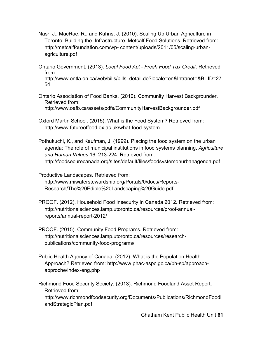- Nasr, J., MacRae, R., and Kuhns, J. (2010). Scaling Up Urban Agriculture in Toronto: Building the Infrastructure. Metcalf Food Solutions. Retrieved from: http://metcalffoundation.com/wp- content/uploads/2011/05/scaling-urbanagriculture.pdf
- Ontario Government. (2013). *Local Food Act - Fresh Food Tax Credit*. Retrieved from:

http://www.ontla.on.ca/web/bills/bills\_detail.do?locale=en&Intranet=&BillID=27 54

- Ontario Association of Food Banks. (2010). Community Harvest Backgrounder. Retrieved from: http://www.oafb.ca/assets/pdfs/CommunityHarvestBackgrounder.pdf
- Oxford Martin School. (2015). What is the Food System? Retrieved from: http://www.futureoffood.ox.ac.uk/what-food-system

Pothukuchi, K., and Kaufman, J. (1999). Placing the food system on the urban agenda: The role of municipal institutions in food systems planning. *Agriculture and Human Values* 16: 213-224. Retrieved from: http://foodsecurecanada.org/sites/default/files/foodsystemonurbanagenda.pdf

Productive Landscapes. Retrieved from: http://www.miwaterstewardship.org/Portals/0/docs/Reports-Research/The%20Edible%20Landscaping%20Guide.pdf

- PROOF. (2012). Household Food Insecurity in Canada 2012. Retrieved from: http://nutritionalsciences.lamp.utoronto.ca/resources/proof-annualreports/annual-report-2012/
- PROOF. (2015). Community Food Programs. Retrieved from: http://nutritionalsciences.lamp.utoronto.ca/resources/researchpublications/community-food-programs/
- Public Health Agency of Canada. (2012). What is the Population Health Approach? Retrieved from: http://www.phac-aspc.gc.ca/ph-sp/approachapproche/index-eng.php

Richmond Food Security Society. (2013). Richmond Foodland Asset Report. Retrieved from: http://www.richmondfoodsecurity.org/Documents/Publications/RichmondFoodl andStrategicPlan.pdf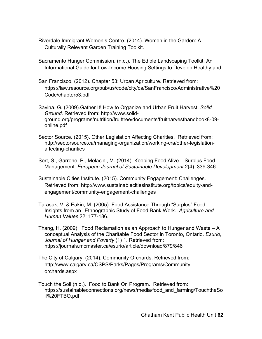Riverdale Immigrant Women's Centre. (2014). Women in the Garden: A Culturally Relevant Garden Training Toolkit.

Sacramento Hunger Commission. (n.d.). The Edible Landscaping Toolkit: An Informational Guide for Low-Income Housing Settings to Develop Healthy and

San Francisco. (2012). Chapter 53: Urban Agriculture. Retrieved from: https://law.resource.org/pub/us/code/city/ca/SanFrancisco/Administrative%20 Code/chapter53.pdf

Savina, G. (2009).Gather It! How to Organize and Urban Fruit Harvest. *Solid Ground*. Retrieved from: http://www.solidground.org/programs/nutrition/fruittree/documents/fruitharvesthandbook8-09 online.pdf

Sector Source. (2015). Other Legislation Affecting Charities. Retrieved from: http://sectorsource.ca/managing-organization/working-cra/other-legislationaffecting-charities

Sert, S., Garrone, P., Melacini, M. (2014). Keeping Food Alive – Surplus Food Management. *European Journal of Sustainable Development* 2(4): 339-346.

Sustainable Cities Institute. (2015). Community Engagement: Challenges. Retrieved from: http://www.sustainablecitiesinstitute.org/topics/equity-andengagement/community-engagement-challenges

Tarasuk, V. & Eakin, M. (2005). Food Assistance Through "Surplus" Food – Insights from an Ethnographic Study of Food Bank Work. *Agriculture and Human Values* 22: 177-186.

- Thang, H. (2009). Food Reclamation as an Approach to Hunger and Waste A conceptual Analysis of the Charitable Food Sector in Toronto, Ontario. *Esurio; Journal of Hunger and Poverty* (1) 1. Retrieved from: https://journals.mcmaster.ca/esurio/article/download/879/846
- The City of Calgary. (2014). Community Orchards. Retrieved from: http://www.calgary.ca/CSPS/Parks/Pages/Programs/Communityorchards.aspx

Touch the Soil (n.d.). Food to Bank On Program. Retrieved from: https://sustainableconnections.org/news/media/food and farming/TouchtheSo il%20FTBO.pdf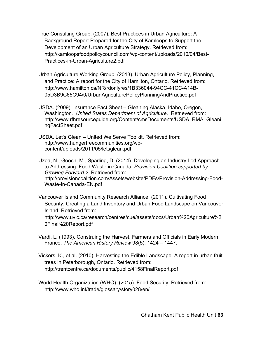True Consulting Group. (2007). Best Practices in Urban Agriculture: A Background Report Prepared for the City of Kamloops to Support the Development of an Urban Agriculture Strategy. Retrieved from: http://kamloopsfoodpolicycouncil.com/wp-content/uploads/2010/04/Best-Practices-in-Urban-Agriculture2.pdf

Urban Agriculture Working Group. (2013). Urban Agriculture Policy, Planning, and Practice: A report for the City of Hamilton, Ontario. Retrieved from: http://www.hamilton.ca/NR/rdonlyres/1B336044-94CC-41CC-A14B-05D3B9C65C94/0/UrbanAgriculturePolicyPlanningAndPractice.pdf

USDA. (2009). Insurance Fact Sheet – Gleaning Alaska, Idaho, Oregon, Washington. *United States Department of Agriculture*. Retrieved from: http://www.rfhresourceguide.org/Content/cmsDocuments/USDA\_RMA\_Gleani ngFactSheet.pdf

USDA. Let's Glean – United We Serve Toolkit. Retrieved from: http://www.hungerfreecommunities.org/wpcontent/uploads/2011/05/letsglean.pdf

Uzea, N., Gooch, M., Sparling, D. (2014). Developing an Industry Led Approach to Addressing Food Waste in Canada. *Provision Coalition supported by Growing Forward 2.* Retrieved from: http://provisioncoalition.com/Assets/website/PDFs/Provision-Addressing-Food-Waste-In-Canada-EN.pdf

Vancouver Island Community Research Alliance. (2011). Cultivating Food Security: Creating a Land Inventory and Urban Food Landscape on Vancouver Island. Retrieved from:

http://www.uvic.ca/research/centres/cue/assets/docs/Urban%20Agriculture%2 0Final%20Report.pdf

- Vardi, L. (1993). Construing the Harvest, Farmers and Officials in Early Modern France. *The American History Review* 98(5): 1424 – 1447.
- Vickers, K., et al. (2010). Harvesting the Edible Landscape: A report in urban fruit trees in Peterborough, Ontario. Retrieved from: http://trentcentre.ca/documents/public/4158FinalReport.pdf

World Health Organization (WHO). (2015). Food Security. Retrieved from: http://www.who.int/trade/glossary/story028/en/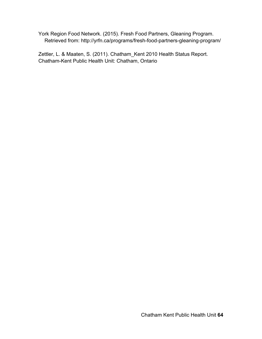York Region Food Network. (2015). Fresh Food Partners, Gleaning Program. Retrieved from: http://yrfn.ca/programs/fresh-food-partners-gleaning-program/

Zettler, L. & Maaten, S. (2011). Chatham\_Kent 2010 Health Status Report. Chatham-Kent Public Health Unit: Chatham, Ontario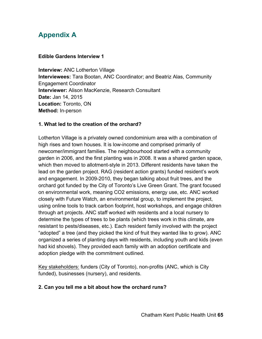# **Appendix A**

#### **Edible Gardens Interview 1**

**Interview:** ANC Lotherton Village **Interviewees:** Tara Bootan, ANC Coordinator; and Beatriz Alas, Community Engagement Coordinator **Interviewer:** Alison MacKenzie, Research Consultant **Date:** Jan 14, 2015 **Location:** Toronto, ON **Method:** In-person

## **1. What led to the creation of the orchard?**

Lotherton Village is a privately owned condominium area with a combination of high rises and town houses. It is low-income and comprised primarily of newcomer/immigrant families. The neighbourhood started with a community garden in 2006, and the first planting was in 2008. It was a shared garden space, which then moved to allotment-style in 2013. Different residents have taken the lead on the garden project. RAG (resident action grants) funded resident's work and engagement. In 2009-2010, they began talking about fruit trees, and the orchard got funded by the City of Toronto's Live Green Grant. The grant focused on environmental work, meaning CO2 emissions, energy use, etc. ANC worked closely with Future Watch, an environmental group, to implement the project, using online tools to track carbon footprint, host workshops, and engage children through art projects. ANC staff worked with residents and a local nursery to determine the types of trees to be plants (which trees work in this climate, are resistant to pests/diseases, etc.). Each resident family involved with the project "adopted" a tree (and they picked the kind of fruit they wanted like to grow). ANC organized a series of planting days with residents, including youth and kids (even had kid shovels). They provided each family with an adoption certificate and adoption pledge with the commitment outlined.

Key stakeholders: funders (City of Toronto), non-profits (ANC, which is City funded), businesses (nursery), and residents.

## **2. Can you tell me a bit about how the orchard runs?**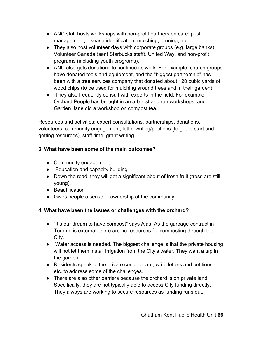- ANC staff hosts workshops with non-profit partners on care, pest management, disease identification, mulching, pruning, etc.
- They also host volunteer days with corporate groups (e.g. large banks), Volunteer Canada (sent Starbucks staff), United Way, and non-profit programs (including youth programs).
- ANC also gets donations to continue its work. For example, church groups have donated tools and equipment, and the "biggest partnership" has been with a tree services company that donated about 120 cubic yards of wood chips (to be used for mulching around trees and in their garden).
- They also frequently consult with experts in the field. For example, Orchard People has brought in an arborist and ran workshops; and Garden Jane did a workshop on compost tea.

Resources and activities: expert consultations, partnerships, donations, volunteers, community engagement, letter writing/petitions (to get to start and getting resources), staff time, grant writing.

## **3. What have been some of the main outcomes?**

- Community engagement
- Education and capacity building
- Down the road, they will get a significant about of fresh fruit (tress are still young).
- Beautification
- Gives people a sense of ownership of the community

## **4. What have been the issues or challenges with the orchard?**

- "It's our dream to have compost" says Alas. As the garbage contract in Toronto is external, there are no resources for composting through the City.
- Water access is needed. The biggest challenge is that the private housing will not let them install irrigation from the City's water. They want a tap in the garden.
- Residents speak to the private condo board, write letters and petitions, etc. to address some of the challenges.
- There are also other barriers because the orchard is on private land. Specifically, they are not typically able to access City funding directly. They always are working to secure resources as funding runs out.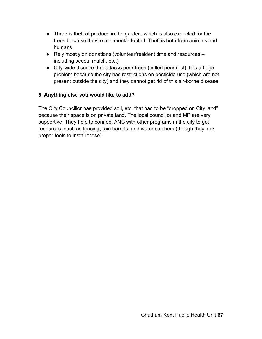- There is theft of produce in the garden, which is also expected for the trees because they're allotment/adopted. Theft is both from animals and humans.
- Rely mostly on donations (volunteer/resident time and resources including seeds, mulch, etc.)
- City-wide disease that attacks pear trees (called pear rust). It is a huge problem because the city has restrictions on pesticide use (which are not present outside the city) and they cannot get rid of this air-borne disease.

## **5. Anything else you would like to add?**

The City Councillor has provided soil, etc. that had to be "dropped on City land" because their space is on private land. The local councillor and MP are very supportive. They help to connect ANC with other programs in the city to get resources, such as fencing, rain barrels, and water catchers (though they lack proper tools to install these).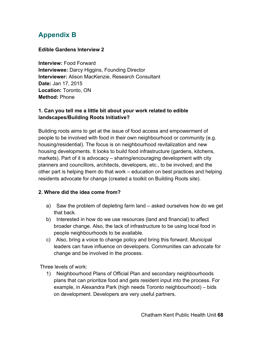# **Appendix B**

## **Edible Gardens Interview 2**

**Interview:** Food Forward **Interviewee:** Darcy Higgins, Founding Director **Interviewer:** Alison MacKenzie, Research Consultant **Date:** Jan 17, 2015 **Location:** Toronto, ON **Method:** Phone

## **1. Can you tell me a little bit about your work related to edible landscapes/Building Roots Initiative?**

Building roots aims to get at the issue of food access and empowerment of people to be involved with food in their own neighbourhood or community (e.g. housing/residential). The focus is on neighbourhood revitalization and new housing developments. It looks to build food infrastructure (gardens, kitchens, markets). Part of it is advocacy – sharing/encouraging development with city planners and councillors, architects, developers, etc., to be involved; and the other part is helping them do that work – education on best practices and helping residents advocate for change (created a toolkit on Building Roots site).

#### **2. Where did the idea come from?**

- a) Saw the problem of depleting farm land asked ourselves how do we get that back.
- b) Interested in how do we use resources (land and financial) to affect broader change. Also, the lack of infrastructure to be using local food in people neighbourhoods to be available.
- c) Also, bring a voice to change policy and bring this forward. Municipal leaders can have influence on developers. Communities can advocate for change and be involved in the process.

Three levels of work:

1) Neighbourhood Plans of Official Plan and secondary neighbourhoods plans that can prioritize food and gets resident input into the process. For example, in Alexandra Park (high needs Toronto neighbourhood) – bids on development. Developers are very useful partners.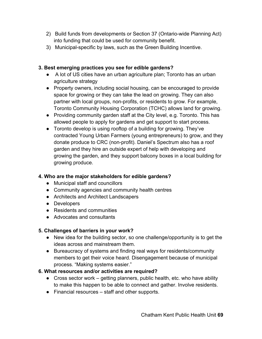- 2) Build funds from developments or Section 37 (Ontario-wide Planning Act) into funding that could be used for community benefit.
- 3) Municipal-specific by laws, such as the Green Building Incentive.

## **3. Best emerging practices you see for edible gardens?**

- A lot of US cities have an urban agriculture plan; Toronto has an urban agriculture strategy
- Property owners, including social housing, can be encouraged to provide space for growing or they can take the lead on growing. They can also partner with local groups, non-profits, or residents to grow. For example, Toronto Community Housing Corporation (TCHC) allows land for growing.
- Providing community garden staff at the City level, e.g. Toronto. This has allowed people to apply for gardens and get support to start process.
- Toronto develop is using rooftop of a building for growing. They've contracted Young Urban Farmers (young entrepreneurs) to grow, and they donate produce to CRC (non-profit). Daniel's Spectrum also has a roof garden and they hire an outside expert of help with developing and growing the garden, and they support balcony boxes in a local building for growing produce.

## **4. Who are the major stakeholders for edible gardens?**

- Municipal staff and councillors
- Community agencies and community health centres
- Architects and Architect Landscapers
- Developers
- Residents and communities
- Advocates and consultants

## **5. Challenges of barriers in your work?**

- New idea for the building sector, so one challenge/opportunity is to get the ideas across and mainstream them.
- Bureaucracy of systems and finding real ways for residents/community members to get their voice heard. Disengagement because of municipal process. "Making systems easier."

## **6. What resources and/or activities are required?**

- Cross sector work getting planners, public health, etc. who have ability to make this happen to be able to connect and gather. Involve residents.
- Financial resources staff and other supports.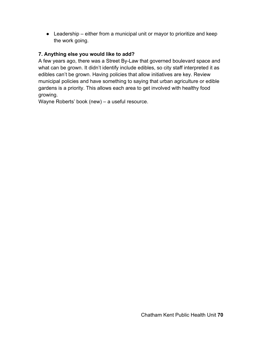● Leadership – either from a municipal unit or mayor to prioritize and keep the work going.

## **7. Anything else you would like to add?**

A few years ago, there was a Street By-Law that governed boulevard space and what can be grown. It didn't identify include edibles, so city staff interpreted it as edibles can't be grown. Having policies that allow initiatives are key. Review municipal policies and have something to saying that urban agriculture or edible gardens is a priority. This allows each area to get involved with healthy food growing.

Wayne Roberts' book (new) – a useful resource.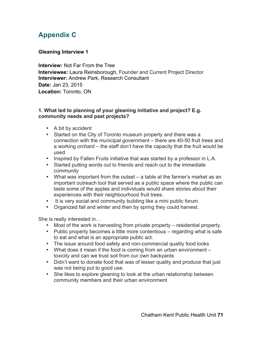# **Appendix C**

#### **Gleaning Interview 1**

**Interview:** Not Far From the Tree **Interviewee:** Laura Reinsborough, Founder and Current Project Director **Interviewer:** Andrew Park, Research Consultant **Date:** Jan 23, 2015 **Location:** Toronto, ON

#### **1. What led to planning of your gleaning initiative and project? E.g. community needs and past projects?**

- A bit by accident
- Started on the City of Toronto museum property and there was a connection with the municipal government – there are 40-50 fruit trees and a working orchard – the staff don't have the capacity that the fruit would be used.
- Inspired by Fallen Fruits initiative that was started by a professor in L.A.
- Started putting words out to friends and reach out to the immediate community
- What was important from the outset a table at the farmer's market as an important outreach tool that served as a public space where the public can taste some of the apples and individuals would share stories about their experiences with their neighbourhood fruit trees.
- It is very social and community building like a mini public forum.
- Organized fall and winter and then by spring they could harvest.

She is really interested in…

- Most of the work is harvesting from private property residential property.
- Public property becomes a little more contentious regarding what is safe to eat and what is an appropriate public act.
- The issue around food safety and non-commercial quality food looks
- What does it mean if the food is coming from an urban environment toxicity and can we trust soil from our own backyards
- Didn't want to donate food that was of lesser quality and produce that just was not being put to good use.
- She likes to explore gleaning to look at the urban relationship between community members and their urban environment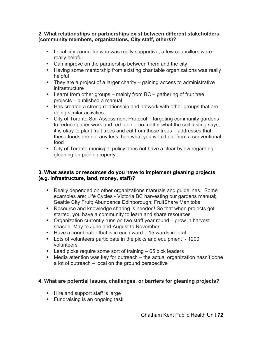#### **2. What relationships or partnerships exist between different stakeholders (community members, organizations, City staff, others)?**

- Local city councillor who was really supportive, a few councillors were really helpful
- Can improve on the partnership between them and the city
- Having some mentorship from existing charitable organizations was really helpful
- They are a project of a larger charity gaining access to administrative **infrastructure**
- Learnt from other groups mainly from BC gathering of fruit tree projects – published a manual
- Has created a strong relationship and network with other groups that are doing similar activities
- City of Toronto Soil Assessment Protocol targeting community gardens to reduce paper work and red tape - no matter what the soil testing says, it is okay to plant fruit trees and eat from those trees – addresses that these foods are not any less than what you would eat from a conventional food
- City of Toronto municipal policy does not have a clear bylaw regarding gleaning on public property.

#### **3. What assets or resources do you have to implement gleaning projects (e.g. infrastructure, land, money, staff)?**

- Really depended on other organizations manuals and guidelines. Some examples are: Life Cycles - Victoria BC harvesting our gardens manual; Seattle City Fruit; Abundance Edinborough; FruitShare Manitoba
- Resource and knowledge sharing is needed! So that when projects get started, you have a community to learn and share resources
- Organization currently runs on two staff year round grow in harvest season, May to June and August to November
- Have a coordinator that is in each ward 15 wards in total
- Lots of volunteers participate in the picks and equipment 1200 volunteers
- Lead picks require some sort of training 65 pick leaders
- Media attention was key for outreach the actual organization hasn't done a lot of outreach – local on the ground perspective

## **4. What are potential issues, challenges, or barriers for gleaning projects?**

- Hire and support staff is large
- Fundraising is an ongoing task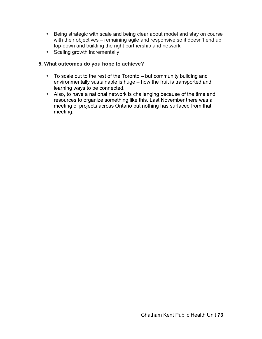- Being strategic with scale and being clear about model and stay on course with their objectives – remaining agile and responsive so it doesn't end up top-down and building the right partnership and network
- Scaling growth incrementally

#### **5. What outcomes do you hope to achieve?**

- To scale out to the rest of the Toronto but community building and environmentally sustainable is huge – how the fruit is transported and learning ways to be connected.
- Also, to have a national network is challenging because of the time and resources to organize something like this. Last November there was a meeting of projects across Ontario but nothing has surfaced from that meeting.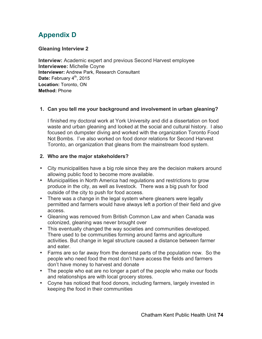# **Appendix D**

#### **Gleaning Interview 2**

**Interview:** Academic expert and previous Second Harvest employee **Interviewee:** Michelle Coyne **Interviewer:** Andrew Park, Research Consultant Date: February 4<sup>th</sup>, 2015 **Location:** Toronto, ON **Method:** Phone

### **1. Can you tell me your background and involvement in urban gleaning?**

I finished my doctoral work at York University and did a dissertation on food waste and urban gleaning and looked at the social and cultural history. I also focused on dumpster diving and worked with the organization Toronto Food Not Bombs. I've also worked on food donor relations for Second Harvest Toronto, an organization that gleans from the mainstream food system.

#### **2. Who are the major stakeholders?**

- City municipalities have a big role since they are the decision makers around allowing public food to become more available.
- Municipalities in North America had regulations and restrictions to grow produce in the city, as well as livestock. There was a big push for food outside of the city to push for food access.
- There was a change in the legal system where gleaners were legally permitted and farmers would have always left a portion of their field and give access.
- Gleaning was removed from British Common Law and when Canada was colonized, gleaning was never brought over
- This eventually changed the way societies and communities developed. There used to be communities forming around farms and agriculture activities. But change in legal structure caused a distance between farmer and eater.
- Farms are so far away from the densest parts of the population now. So the people who need food the most don't have access the fields and farmers don't have money to harvest and donate
- The people who eat are no longer a part of the people who make our foods and relationships are with local grocery stores.
- Coyne has noticed that food donors, including farmers, largely invested in keeping the food in their communities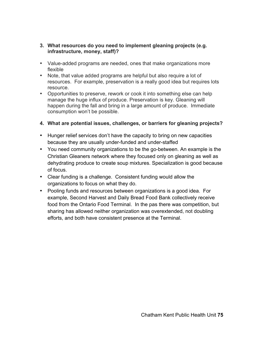#### **3. What resources do you need to implement gleaning projects (e.g. infrastructure, money, staff)?**

- Value-added programs are needed, ones that make organizations more flexible
- Note, that value added programs are helpful but also require a lot of resources. For example, preservation is a really good idea but requires lots resource.
- Opportunities to preserve, rework or cook it into something else can help manage the huge influx of produce. Preservation is key. Gleaning will happen during the fall and bring in a large amount of produce. Immediate consumption won't be possible.

### **4. What are potential issues, challenges, or barriers for gleaning projects?**

- Hunger relief services don't have the capacity to bring on new capacities because they are usually under-funded and under-staffed
- You need community organizations to be the go-between. An example is the Christian Gleaners network where they focused only on gleaning as well as dehydrating produce to create soup mixtures. Specialization is good because of focus.
- Clear funding is a challenge. Consistent funding would allow the organizations to focus on what they do.
- Pooling funds and resources between organizations is a good idea. For example, Second Harvest and Daily Bread Food Bank collectively receive food from the Ontario Food Terminal. In the pas there was competition, but sharing has allowed neither organization was overextended, not doubling efforts, and both have consistent presence at the Terminal.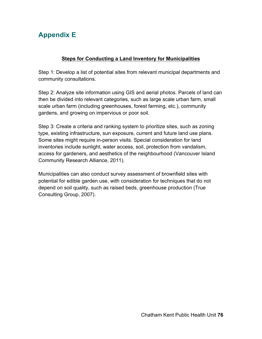# **Appendix E**

### **Steps for Conducting a Land Inventory for Municipalities**

Step 1: Develop a list of potential sites from relevant municipal departments and community consultations.

Step 2: Analyze site information using GIS and aerial photos. Parcels of land can then be divided into relevant categories, such as large scale urban farm, small scale urban farm (including greenhouses, forest farming, etc.), community gardens, and growing on impervious or poor soil.

Step 3: Create a criteria and ranking system to prioritize sites, such as zoning type, existing infrastructure, sun exposure, current and future land use plans. Some sites might require in-person visits. Special consideration for land inventories include sunlight, water access, soil, protection from vandalism, access for gardeners, and aesthetics of the neighbourhood (Vancouver Island Community Research Alliance, 2011).

Municipalities can also conduct survey assessment of brownfield sites with potential for edible garden use, with consideration for techniques that do not depend on soil quality, such as raised beds, greenhouse production (True Consulting Group, 2007).